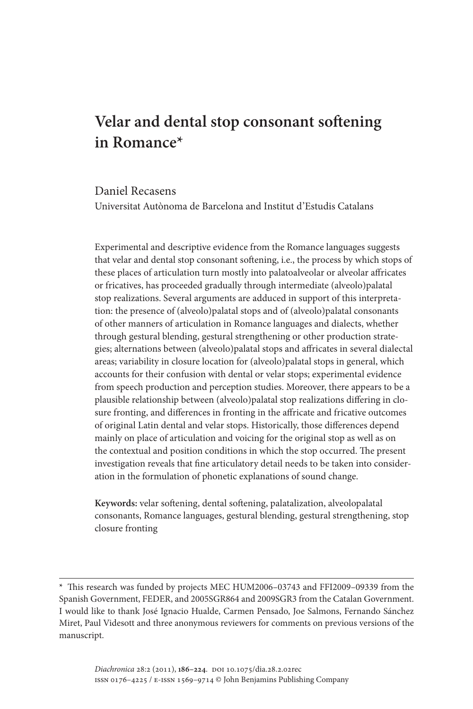# **Velar and dental stop consonant softening in Romance\***

Daniel Recasens

Universitat Autònoma de Barcelona and Institut d'Estudis Catalans

Experimental and descriptive evidence from the Romance languages suggests that velar and dental stop consonant softening, i.e., the process by which stops of these places of articulation turn mostly into palatoalveolar or alveolar affricates or fricatives, has proceeded gradually through intermediate (alveolo)palatal stop realizations. Several arguments are adduced in support of this interpretation: the presence of (alveolo)palatal stops and of (alveolo)palatal consonants of other manners of articulation in Romance languages and dialects, whether through gestural blending, gestural strengthening or other production strategies; alternations between (alveolo)palatal stops and affricates in several dialectal areas; variability in closure location for (alveolo)palatal stops in general, which accounts for their confusion with dental or velar stops; experimental evidence from speech production and perception studies. Moreover, there appears to be a plausible relationship between (alveolo)palatal stop realizations differing in closure fronting, and differences in fronting in the affricate and fricative outcomes of original Latin dental and velar stops. Historically, those differences depend mainly on place of articulation and voicing for the original stop as well as on the contextual and position conditions in which the stop occurred. The present investigation reveals that fine articulatory detail needs to be taken into consideration in the formulation of phonetic explanations of sound change.

**Keywords:** velar softening, dental softening, palatalization, alveolopalatal consonants, Romance languages, gestural blending, gestural strengthening, stop closure fronting

**<sup>\*</sup>** This research was funded by projects MEC HUM2006–03743 and FFI2009–09339 from the Spanish Government, FEDER, and 2005SGR864 and 2009SGR3 from the Catalan Government. I would like to thank José Ignacio Hualde, Carmen Pensado, Joe Salmons, Fernando Sánchez Miret, Paul Videsott and three anonymous reviewers for comments on previous versions of the manuscript.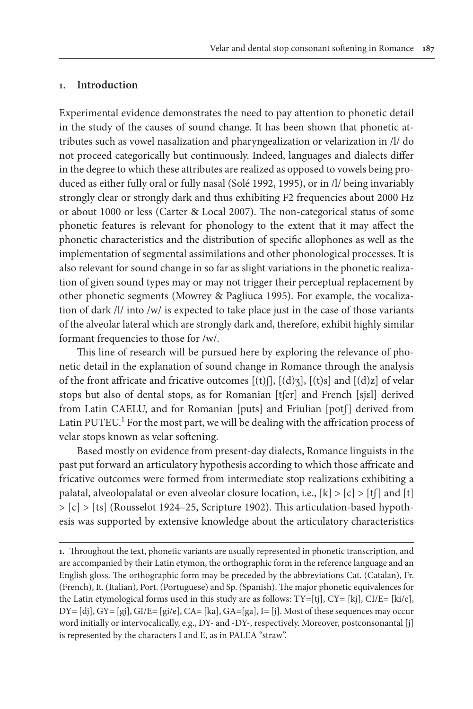### **1. Introduction**

Experimental evidence demonstrates the need to pay attention to phonetic detail in the study of the causes of sound change. It has been shown that phonetic attributes such as vowel nasalization and pharyngealization or velarization in /l/ do not proceed categorically but continuously. Indeed, languages and dialects differ in the degree to which these attributes are realized as opposed to vowels being produced as either fully oral or fully nasal (Solé 1992, 1995), or in /l/ being invariably strongly clear or strongly dark and thus exhibiting F2 frequencies about 2000 Hz or about 1000 or less (Carter & Local 2007). The non-categorical status of some phonetic features is relevant for phonology to the extent that it may affect the phonetic characteristics and the distribution of specific allophones as well as the implementation of segmental assimilations and other phonological processes. It is also relevant for sound change in so far as slight variations in the phonetic realization of given sound types may or may not trigger their perceptual replacement by other phonetic segments (Mowrey & Pagliuca 1995). For example, the vocalization of dark /l/ into /w/ is expected to take place just in the case of those variants of the alveolar lateral which are strongly dark and, therefore, exhibit highly similar formant frequencies to those for /w/.

This line of research will be pursued here by exploring the relevance of phonetic detail in the explanation of sound change in Romance through the analysis of the front affricate and fricative outcomes  $[(t)]$ ,  $[(d)$ <sub>3</sub>],  $[(t)s]$  and  $[(d)$ <sub>z</sub>] of velar stops but also of dental stops, as for Romanian [tʃer] and French [sjɛl] derived from Latin CAELU, and for Romanian [puts] and Friulian [potʃ ] derived from Latin PUTEU.<sup>1</sup> For the most part, we will be dealing with the affrication process of velar stops known as velar softening.

Based mostly on evidence from present-day dialects, Romance linguists in the past put forward an articulatory hypothesis according to which those affricate and fricative outcomes were formed from intermediate stop realizations exhibiting a palatal, alveolopalatal or even alveolar closure location, i.e.,  $[k] > [c] > [t]$  and  $[t]$ > [c] > [ts] (Rousselot 1924–25, Scripture 1902). This articulation-based hypothesis was supported by extensive knowledge about the articulatory characteristics

**<sup>1.</sup>** Throughout the text, phonetic variants are usually represented in phonetic transcription, and are accompanied by their Latin etymon, the orthographic form in the reference language and an English gloss. The orthographic form may be preceded by the abbreviations Cat. (Catalan), Fr. (French), It. (Italian), Port. (Portuguese) and Sp. (Spanish). The major phonetic equivalences for the Latin etymological forms used in this study are as follows: TY=[tj], CY= [kj], CI/E= [ki/e], DY= [dj], GY= [gj], GI/E= [gi/e], CA= [ka], GA=[ga], I= [j]. Most of these sequences may occur word initially or intervocalically, e.g., DY- and -DY-, respectively. Moreover, postconsonantal [j] is represented by the characters I and E, as in PALEA "straw".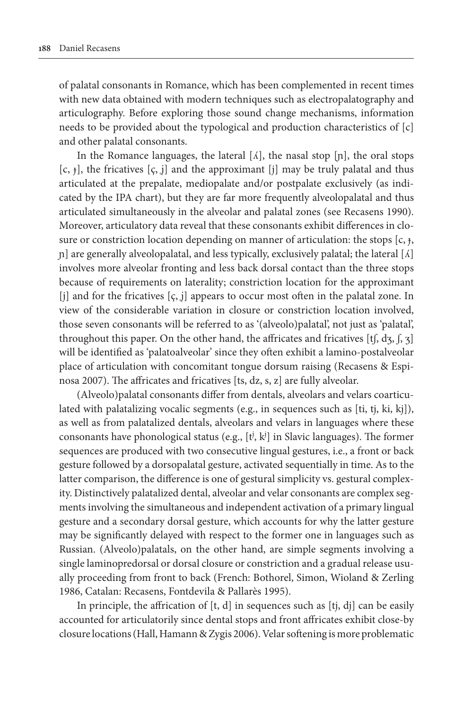of palatal consonants in Romance, which has been complemented in recent times with new data obtained with modern techniques such as electropalatography and articulography. Before exploring those sound change mechanisms, information needs to be provided about the typological and production characteristics of [c] and other palatal consonants.

In the Romance languages, the lateral  $[\Lambda]$ , the nasal stop  $[n]$ , the oral stops  $[c, t]$ , the fricatives  $[c, j]$  and the approximant  $[i]$  may be truly palatal and thus articulated at the prepalate, mediopalate and/or postpalate exclusively (as indicated by the IPA chart), but they are far more frequently alveolopalatal and thus articulated simultaneously in the alveolar and palatal zones (see Recasens 1990). Moreover, articulatory data reveal that these consonants exhibit differences in closure or constriction location depending on manner of articulation: the stops  $[c, \, j, \, j]$ ɲ] are generally alveolopalatal, and less typically, exclusively palatal; the lateral [ʎ] involves more alveolar fronting and less back dorsal contact than the three stops because of requirements on laterality; constriction location for the approximant [j] and for the fricatives  $[c, j]$  appears to occur most often in the palatal zone. In view of the considerable variation in closure or constriction location involved, those seven consonants will be referred to as '(alveolo)palatal', not just as 'palatal', throughout this paper. On the other hand, the affricates and fricatives [tf, d3, f, 3] will be identified as 'palatoalveolar' since they often exhibit a lamino-postalveolar place of articulation with concomitant tongue dorsum raising (Recasens & Espinosa 2007). The affricates and fricatives [ts, dz, s, z] are fully alveolar.

(Alveolo)palatal consonants differ from dentals, alveolars and velars coarticulated with palatalizing vocalic segments (e.g., in sequences such as [ti, tj, ki, kj]), as well as from palatalized dentals, alveolars and velars in languages where these consonants have phonological status (e.g.,  $[t^j, k^j]$  in Slavic languages). The former sequences are produced with two consecutive lingual gestures, i.e., a front or back gesture followed by a dorsopalatal gesture, activated sequentially in time. As to the latter comparison, the difference is one of gestural simplicity vs. gestural complexity. Distinctively palatalized dental, alveolar and velar consonants are complex segments involving the simultaneous and independent activation of a primary lingual gesture and a secondary dorsal gesture, which accounts for why the latter gesture may be significantly delayed with respect to the former one in languages such as Russian. (Alveolo)palatals, on the other hand, are simple segments involving a single laminopredorsal or dorsal closure or constriction and a gradual release usually proceeding from front to back (French: Bothorel, Simon, Wioland & Zerling 1986, Catalan: Recasens, Fontdevila & Pallarès 1995).

In principle, the affrication of  $[t, d]$  in sequences such as  $[t, d]$  can be easily accounted for articulatorily since dental stops and front affricates exhibit close-by closure locations (Hall, Hamann & Zygis 2006). Velar softening is more problematic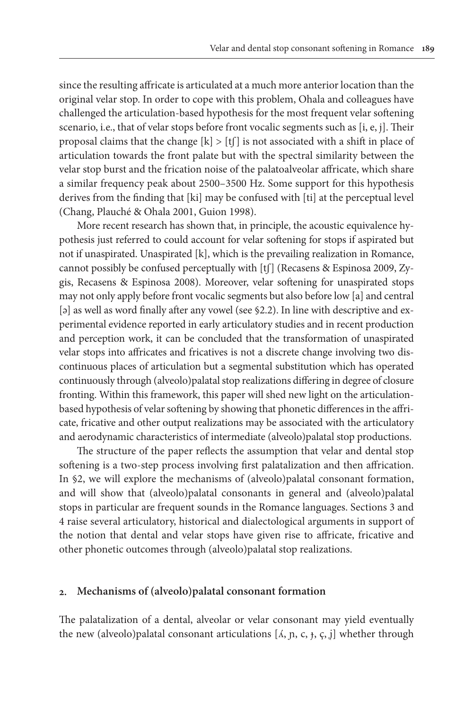since the resulting affricate is articulated at a much more anterior location than the original velar stop. In order to cope with this problem, Ohala and colleagues have challenged the articulation-based hypothesis for the most frequent velar softening scenario, i.e., that of velar stops before front vocalic segments such as [i, e, j]. Their proposal claims that the change  $[k] > [t]$  is not associated with a shift in place of articulation towards the front palate but with the spectral similarity between the velar stop burst and the frication noise of the palatoalveolar affricate, which share a similar frequency peak about 2500–3500 Hz. Some support for this hypothesis derives from the finding that [ki] may be confused with [ti] at the perceptual level (Chang, Plauché & Ohala 2001, Guion 1998).

More recent research has shown that, in principle, the acoustic equivalence hypothesis just referred to could account for velar softening for stops if aspirated but not if unaspirated. Unaspirated [k], which is the prevailing realization in Romance, cannot possibly be confused perceptually with [tʃ ] (Recasens & Espinosa 2009, Zygis, Recasens & Espinosa 2008). Moreover, velar softening for unaspirated stops may not only apply before front vocalic segments but also before low [a] and central [ǝ] as well as word finally after any vowel (see §2.2). In line with descriptive and experimental evidence reported in early articulatory studies and in recent production and perception work, it can be concluded that the transformation of unaspirated velar stops into affricates and fricatives is not a discrete change involving two discontinuous places of articulation but a segmental substitution which has operated continuously through (alveolo)palatal stop realizations differing in degree of closure fronting. Within this framework, this paper will shed new light on the articulationbased hypothesis of velar softening by showing that phonetic differences in the affricate, fricative and other output realizations may be associated with the articulatory and aerodynamic characteristics of intermediate (alveolo)palatal stop productions.

The structure of the paper reflects the assumption that velar and dental stop softening is a two-step process involving first palatalization and then affrication. In §2, we will explore the mechanisms of (alveolo)palatal consonant formation, and will show that (alveolo)palatal consonants in general and (alveolo)palatal stops in particular are frequent sounds in the Romance languages. Sections 3 and 4 raise several articulatory, historical and dialectological arguments in support of the notion that dental and velar stops have given rise to affricate, fricative and other phonetic outcomes through (alveolo)palatal stop realizations.

### **2. Mechanisms of (alveolo)palatal consonant formation**

The palatalization of a dental, alveolar or velar consonant may yield eventually the new (alveolo)palatal consonant articulations  $[\Lambda, \rho, \varsigma, \varsigma, \varsigma, \varsigma]$  whether through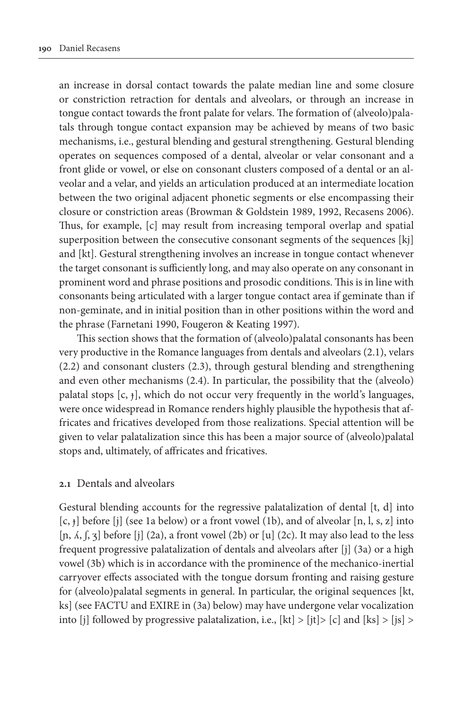an increase in dorsal contact towards the palate median line and some closure or constriction retraction for dentals and alveolars, or through an increase in tongue contact towards the front palate for velars. The formation of (alveolo)palatals through tongue contact expansion may be achieved by means of two basic mechanisms, i.e., gestural blending and gestural strengthening. Gestural blending operates on sequences composed of a dental, alveolar or velar consonant and a front glide or vowel, or else on consonant clusters composed of a dental or an alveolar and a velar, and yields an articulation produced at an intermediate location between the two original adjacent phonetic segments or else encompassing their closure or constriction areas (Browman & Goldstein 1989, 1992, Recasens 2006). Thus, for example, [c] may result from increasing temporal overlap and spatial superposition between the consecutive consonant segments of the sequences [kj] and [kt]. Gestural strengthening involves an increase in tongue contact whenever the target consonant is sufficiently long, and may also operate on any consonant in prominent word and phrase positions and prosodic conditions. This is in line with consonants being articulated with a larger tongue contact area if geminate than if non-geminate, and in initial position than in other positions within the word and the phrase (Farnetani 1990, Fougeron & Keating 1997).

This section shows that the formation of (alveolo)palatal consonants has been very productive in the Romance languages from dentals and alveolars (2.1), velars (2.2) and consonant clusters (2.3), through gestural blending and strengthening and even other mechanisms (2.4). In particular, the possibility that the (alveolo) palatal stops [c, ɟ], which do not occur very frequently in the world's languages, were once widespread in Romance renders highly plausible the hypothesis that affricates and fricatives developed from those realizations. Special attention will be given to velar palatalization since this has been a major source of (alveolo)palatal stops and, ultimately, of affricates and fricatives.

## **2.1** Dentals and alveolars

Gestural blending accounts for the regressive palatalization of dental [t, d] into  $[c, t]$  before [j] (see 1a below) or a front vowel (1b), and of alveolar [n, l, s, z] into [n,  $\Lambda$ ,  $\int$ ,  $\chi$ ] before [j] (2a), a front vowel (2b) or [u] (2c). It may also lead to the less frequent progressive palatalization of dentals and alveolars after [j] (3a) or a high vowel (3b) which is in accordance with the prominence of the mechanico-inertial carryover effects associated with the tongue dorsum fronting and raising gesture for (alveolo)palatal segments in general. In particular, the original sequences [kt, ks] (see FACTU and EXIRE in (3a) below) may have undergone velar vocalization into [j] followed by progressive palatalization, i.e.,  $[kt] > [it] > [c]$  and  $[ks] > [is] >$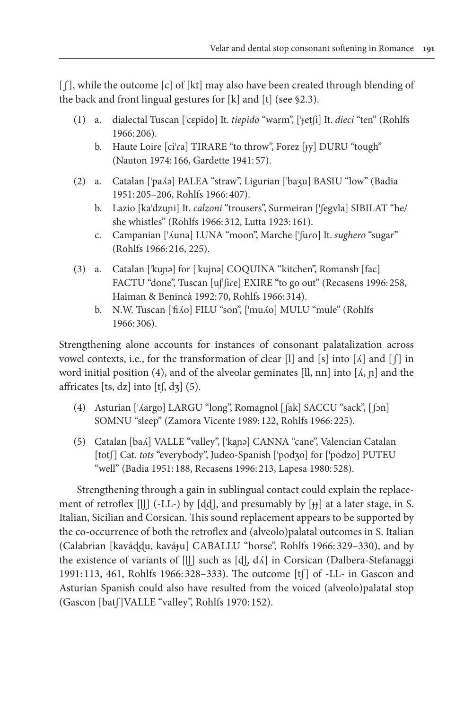[ʃ ], while the outcome [c] of [kt] may also have been created through blending of the back and front lingual gestures for [k] and [t] (see §2.3).

- (1) a. dialectal Tuscan [ˈcɛpido] It. *tiepido* "warm", [ˈɟetʃi] It. *dieci* "ten" (Rohlfs 1966: 206).
	- b. Haute Loire [ci<sup>t</sup>ra] TIRARE "to throw", Forez [ty] DURU "tough" (Nauton 1974: 166, Gardette 1941: 57).
- (2) a. Catalan [ˈpaʎǝ] PALEA "straw", Ligurian [ˈbaȝu] BASIU "low" (Badia 1951: 205–206, Rohlfs 1966: 407).
	- b. Lazio [kaˈdzuɲi] It. *calzoni* "trousers", Surmeiran [ˈʃegvla] SIBILAT "he/ she whistles" (Rohlfs 1966: 312, Lutta 1923: 161).
	- c. Campanian [ˈʎuna] LUNA "moon", Marche [ˈʃuɾo] It. *sughero* "sugar" (Rohlfs 1966: 216, 225).
- (3) a. Catalan [ˈkuɲǝ] for [ˈkujnǝ] COQUINA "kitchen", Romansh [fac] FACTU "done", Tuscan [uf fire] EXIRE "to go out" (Recasens 1996:258, Haiman & Benincà 1992: 70, Rohlfs 1966: 314).
	- b. N.W. Tuscan ['fi Ao] FILU "son", ['mu Ao] MULU "mule" (Rohlfs 1966: 306).

Strengthening alone accounts for instances of consonant palatalization across vowel contexts, i.e., for the transformation of clear [l] and [s] into  $[\Lambda]$  and  $[\int]$  in word initial position (4), and of the alveolar geminates [ll, nn] into  $[\Lambda, \text{p}]$  and the affricates [ts, dz] into  $[t, dz]$  (5).

- (4) Asturian [ˈʎargo] LARGU "long", Romagnol [ʃak] SACCU "sack", [ʃɔn] SOMNU "sleep" (Zamora Vicente 1989: 122, Rohlfs 1966: 225).
- (5) Catalan [baʎ] VALLE "valley", [ˈkaɲǝ] CANNA "cane", Valencian Catalan [totʃ ] Cat. *tots* "everybody", Judeo-Spanish [ˈpodȝo] for [ˈpodzo] PUTEU "well" (Badia 1951: 188, Recasens 1996: 213, Lapesa 1980: 528).

Strengthening through a gain in sublingual contact could explain the replacement of retroflex [ll] (-LL-) by [dd], and presumably by [H] at a later stage, in S. Italian, Sicilian and Corsican. This sound replacement appears to be supported by the co-occurrence of both the retroflex and (alveolo)palatal outcomes in S. Italian (Calabrian [kaváɖɖu, kaváɟu] CABALLU "horse", Rohlfs 1966: 329–330), and by the existence of variants of  $[| \cdot |]$  such as  $[d, d \cdot d]$  in Corsican (Dalbera-Stefanaggi 1991: 113, 461, Rohlfs 1966: 328–333). The outcome [tʃ ] of -LL- in Gascon and Asturian Spanish could also have resulted from the voiced (alveolo)palatal stop (Gascon [batʃ ]VALLE "valley", Rohlfs 1970: 152).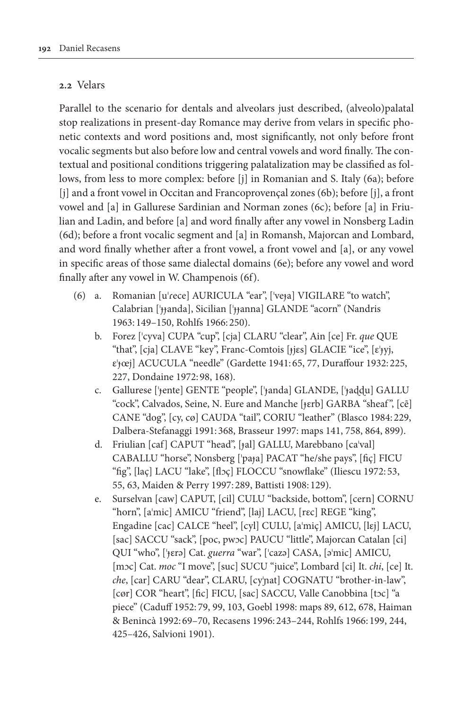## **2.2** Velars

Parallel to the scenario for dentals and alveolars just described, (alveolo)palatal stop realizations in present-day Romance may derive from velars in specific phonetic contexts and word positions and, most significantly, not only before front vocalic segments but also before low and central vowels and word finally. The contextual and positional conditions triggering palatalization may be classified as follows, from less to more complex: before [j] in Romanian and S. Italy (6a); before [j] and a front vowel in Occitan and Francoprovençal zones (6b); before [j], a front vowel and [a] in Gallurese Sardinian and Norman zones (6c); before [a] in Friulian and Ladin, and before [a] and word finally after any vowel in Nonsberg Ladin (6d); before a front vocalic segment and [a] in Romansh, Majorcan and Lombard, and word finally whether after a front vowel, a front vowel and [a], or any vowel in specific areas of those same dialectal domains (6e); before any vowel and word finally after any vowel in W. Champenois (6f).

- (6) a. Romanian [uˈɾece] AURICULA "ear", [ˈveɟa] VIGILARE "to watch", Calabrian [ˈɟɟanda], Sicilian [ˈɟɟanna] GLANDE "acorn" (Nandris 1963: 149–150, Rohlfs 1966: 250).
	- b. Forez [ˈcyva] CUPA "cup", [cja] CLARU "clear", Ain [ce] Fr. *que* QUE "that",  $[cja] CLAVE$  "key", Franc-Comtois [ $jjes] GLACLE$ "ice",  $[\epsilon^j yj]$ , ɛˈɟœj] ACUCULA "needle" (Gardette 1941: 65, 77, Duraffour 1932: 225, 227, Dondaine 1972: 98, 168).
	- c. Gallurese [ˈɟente] GENTE "people", [ˈɟanda] GLANDE, [ˈɟaɖɖu] GALLU "cock", Calvados, Seine, N. Eure and Manche [ɟɛrb] GARBA "sheaf ", [cẽ] CANE "dog", [cy, cø] CAUDA "tail", CORIU "leather" (Blasco 1984: 229, Dalbera-Stefanaggi 1991: 368, Brasseur 1997: maps 141, 758, 864, 899).
	- d. Friulian [caf] CAPUT "head", [tal] GALLU, Marebbano [ca'val] CABALLU "horse", Nonsberg [ˈpaɟa] PACAT "he/she pays", [fiç] FICU "fig", [laç] LACU "lake", [flɔç] FLOCCU "snowflake" (Iliescu 1972: 53, 55, 63, Maiden & Perry 1997: 289, Battisti 1908: 129).
	- e. Surselvan [caw] CAPUT, [cil] CULU "backside, bottom", [cern] CORNU "horn", [aˈmic] AMICU "friend", [laj] LACU, [rɛc] REGE "king", Engadine [cac] CALCE "heel", [cyl] CULU, [aˈmiç] AMICU, [lɛj] LACU, [sac] SACCU "sack", [poc, pwɔc] PAUCU "little", Majorcan Catalan [ci] QUI "who", [ˈɟɛrǝ] Cat. *guerra* "war", [ˈcazǝ] CASA, [ǝˈmic] AMICU, [mɔc] Cat. *moc* "I move", [suc] SUCU "juice", Lombard [ci] It. *chi*, [ce] It. *che*, [car] CARU "dear", CLARU, [cyˈɲat] COGNATU "brother-in-law", [cør] COR "heart", [fic] FICU, [sac] SACCU, Valle Canobbina [tɔc] "a piece" (Caduff 1952: 79, 99, 103, Goebl 1998: maps 89, 612, 678, Haiman & Benincà 1992: 69–70, Recasens 1996: 243–244, Rohlfs 1966: 199, 244, 425–426, Salvioni 1901).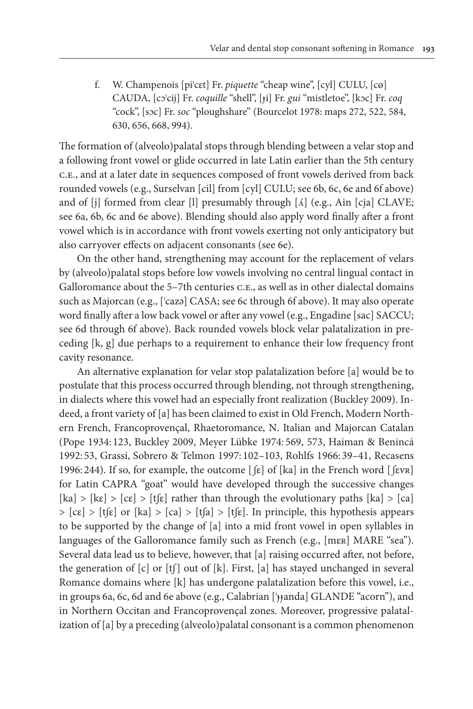f. W. Champenois [piˈcɛt] Fr. *piquette* "cheap wine", [cyl] CULU, [cø] CAUDA, [cɔˈcij] Fr. *coquille* "shell", [ɟi] Fr. *gui* "mistletoe", [kɔc] Fr. *coq* "cock", [sɔc] Fr. *soc* "ploughshare" (Bourcelot 1978: maps 272, 522, 584, 630, 656, 668, 994).

The formation of (alveolo)palatal stops through blending between a velar stop and a following front vowel or glide occurred in late Latin earlier than the 5th century c.e., and at a later date in sequences composed of front vowels derived from back rounded vowels (e.g., Surselvan [cil] from [cyl] CULU; see 6b, 6c, 6e and 6f above) and of [j] formed from clear [l] presumably through [ʎ] (e.g., Ain [cja] CLAVE; see 6a, 6b, 6c and 6e above). Blending should also apply word finally after a front vowel which is in accordance with front vowels exerting not only anticipatory but also carryover effects on adjacent consonants (see 6e).

On the other hand, strengthening may account for the replacement of velars by (alveolo)palatal stops before low vowels involving no central lingual contact in Galloromance about the 5–7th centuries c.e., as well as in other dialectal domains such as Majorcan (e.g., [ˈcazə] CASA; see 6c through 6f above). It may also operate word finally after a low back vowel or after any vowel (e.g., Engadine [sac] SACCU; see 6d through 6f above). Back rounded vowels block velar palatalization in preceding [k, g] due perhaps to a requirement to enhance their low frequency front cavity resonance.

An alternative explanation for velar stop palatalization before [a] would be to postulate that this process occurred through blending, not through strengthening, in dialects where this vowel had an especially front realization (Buckley 2009). Indeed, a front variety of [a] has been claimed to exist in Old French, Modern Northern French, Francoprovençal, Rhaetoromance, N. Italian and Majorcan Catalan (Pope 1934: 123, Buckley 2009, Meyer Lübke 1974: 569, 573, Haiman & Benincá 1992: 53, Grassi, Sobrero & Telmon 1997: 102–103, Rohlfs 1966: 39–41, Recasens 1996: 244). If so, for example, the outcome  $[\int \varepsilon]$  of  $[\kappa]$  in the French word  $[\int \varepsilon v \kappa]$ for Latin CAPRA "goat" would have developed through the successive changes  $[ka] > [ke] > [ce] > [tf\varepsilon]$  rather than through the evolutionary paths  $[ka] > [ca]$  $> [c\epsilon]$  >  $[t[\epsilon]$  or  $[k\epsilon]$  >  $[c\epsilon]$  >  $[t[\epsilon]$ . In principle, this hypothesis appears to be supported by the change of [a] into a mid front vowel in open syllables in languages of the Galloromance family such as French (e.g., [mɛʀ] MARE "sea"). Several data lead us to believe, however, that [a] raising occurred after, not before, the generation of [c] or [tʃ ] out of [k]. First, [a] has stayed unchanged in several Romance domains where [k] has undergone palatalization before this vowel, i.e., in groups 6a, 6c, 6d and 6e above (e.g., Calabrian ['Handa] GLANDE "acorn"), and in Northern Occitan and Francoprovençal zones. Moreover, progressive palatalization of [a] by a preceding (alveolo)palatal consonant is a common phenomenon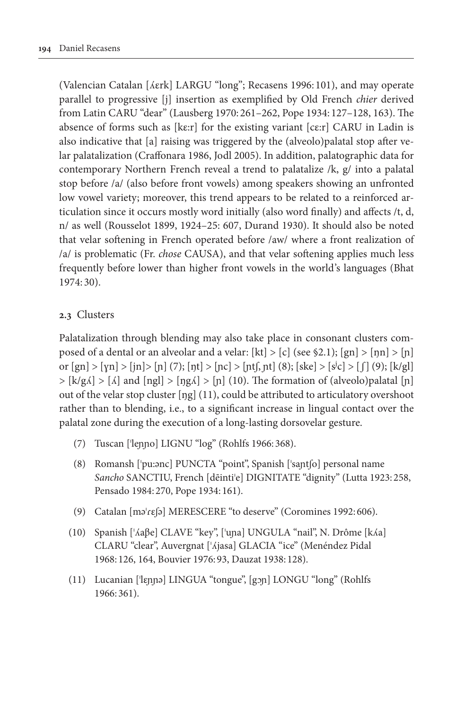(Valencian Catalan [ʎɛrk] LARGU "long"; Recasens 1996: 101), and may operate parallel to progressive [j] insertion as exemplified by Old French *chier* derived from Latin CARU "dear" (Lausberg 1970: 261–262, Pope 1934: 127–128, 163). The absence of forms such as [kɛ:r] for the existing variant [cɛ:r] CARU in Ladin is also indicative that [a] raising was triggered by the (alveolo)palatal stop after velar palatalization (Craffonara 1986, Jodl 2005). In addition, palatographic data for contemporary Northern French reveal a trend to palatalize /k, g/ into a palatal stop before /a/ (also before front vowels) among speakers showing an unfronted low vowel variety; moreover, this trend appears to be related to a reinforced articulation since it occurs mostly word initially (also word finally) and affects /t, d, n/ as well (Rousselot 1899, 1924–25: 607, Durand 1930). It should also be noted that velar softening in French operated before /aw/ where a front realization of /a/ is problematic (Fr. *chose* CAUSA), and that velar softening applies much less frequently before lower than higher front vowels in the world's languages (Bhat 1974: 30).

## **2.3** Clusters

Palatalization through blending may also take place in consonant clusters composed of a dental or an alveolar and a velar:  $[kt] > [c]$  (see §2.1);  $[gn] > [nn] > [n]$ or [gn] > [ɣn] > [jn]> [ɲ] (7); [ŋt] > [ɲc] > [ɲtʃ, ɲt] (8); [ske] > [sj c] > [ʃ ] (9); [k/gl]  $> [k/g\Lambda] > [\Lambda]$  and  $[ngl] > [ng\Lambda] > [n]$  (10). The formation of (alveolo)palatal [n] out of the velar stop cluster [ŋg] (11), could be attributed to articulatory overshoot rather than to blending, i.e., to a significant increase in lingual contact over the palatal zone during the execution of a long-lasting dorsovelar gesture.

- (7) Tuscan [ˈleɲɲo] LIGNU "log" (Rohlfs 1966: 368).
- (8) Romansh [ˈpu:ǝnc] PUNCTA "point", Spanish [ˈsaɲtʃo] personal name *Sancho* SANCTIU, French [dẽintiˈe] DIGNITATE "dignity" (Lutta 1923: 258, Pensado 1984: 270, Pope 1934: 161).
- (9) Catalan [mǝˈɾɛʃǝ] MERESCERE "to deserve" (Coromines 1992: 606).
- (10) Spanish [ˈʎaβe] CLAVE "key", [ˈuɲa] UNGULA "nail", N. Drôme [kʎa] CLARU "clear", Auvergnat [ˈʎjasa] GLACIA "ice" (Menéndez Pidal 1968: 126, 164, Bouvier 1976: 93, Dauzat 1938: 128).
- (11) Lucanian [ˈlɛɲɲǝ] LINGUA "tongue", [gɔɲ] LONGU "long" (Rohlfs 1966: 361).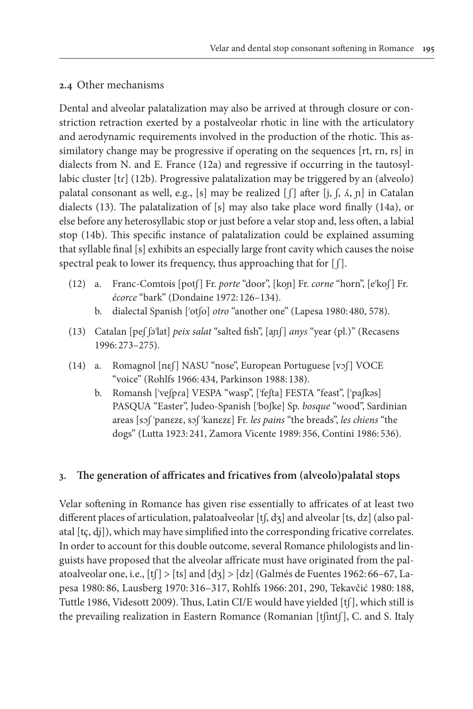# **2.4** Other mechanisms

Dental and alveolar palatalization may also be arrived at through closure or constriction retraction exerted by a postalveolar rhotic in line with the articulatory and aerodynamic requirements involved in the production of the rhotic. This assimilatory change may be progressive if operating on the sequences [rt, rn, rs] in dialects from N. and E. France (12a) and regressive if occurring in the tautosyllabic cluster [tɾ] (12b). Progressive palatalization may be triggered by an (alveolo) palatal consonant as well, e.g., [s] may be realized  $[\int]$  after [j, f,  $\Lambda$ , n] in Catalan dialects (13). The palatalization of [s] may also take place word finally (14a), or else before any heterosyllabic stop or just before a velar stop and, less often, a labial stop (14b). This specific instance of palatalization could be explained assuming that syllable final [s] exhibits an especially large front cavity which causes the noise spectral peak to lower its frequency, thus approaching that for [ $\int$ ].

- (12) a. Franc-Comtois [potʃ ] Fr. *porte* "door", [koɲ] Fr. *corne* "horn", [eˈkoʃ ] Fr. *écorce* "bark" (Dondaine 1972: 126–134).
	- b. dialectal Spanish [ˈotʃo] *otro* "another one" (Lapesa 1980: 480, 578).
- (13) Catalan [peʃ ʃǝˈlat] *peix salat* "salted fish", [aɲʃ ] *anys* "year (pl.)" (Recasens 1996: 273–275).
- (14) a. Romagnol [nɛʃ ] NASU "nose", European Portuguese [vɔʃ ] VOCE "voice" (Rohlfs 1966: 434, Parkinson 1988: 138).
	- b. Romansh [ˈveʃpɾa] VESPA "wasp", [ˈfeʃta] FESTA "feast", [ˈpaʃkəs] PASQUA "Easter", Judeo-Spanish [ˈboʃke] Sp. *bosque* "wood", Sardinian areas [sɔʃ ˈpanɛzɛ, sɔʃ ˈkanɛzɛ] Fr. *les pains* "the breads", *les chiens* "the dogs" (Lutta 1923: 241, Zamora Vicente 1989: 356, Contini 1986: 536).

# **3. The generation of affricates and fricatives from (alveolo)palatal stops**

Velar softening in Romance has given rise essentially to affricates of at least two different places of articulation, palatoalveolar [tʃ, dʒ] and alveolar [ts, dz] (also palatal [tç, dʝ]), which may have simplified into the corresponding fricative correlates. In order to account for this double outcome, several Romance philologists and linguists have proposed that the alveolar affricate must have originated from the palatoalveolar one, i.e.,  $[t] > [ts]$  and  $[dz] > [dz]$  (Galmés de Fuentes 1962: 66–67, Lapesa 1980: 86, Lausberg 1970: 316–317, Rohlfs 1966: 201, 290, Tekavčić 1980: 188, Tuttle 1986, Videsott 2009). Thus, Latin CI/E would have yielded [tʃ ], which still is the prevailing realization in Eastern Romance (Romanian [tʃintʃ ], C. and S. Italy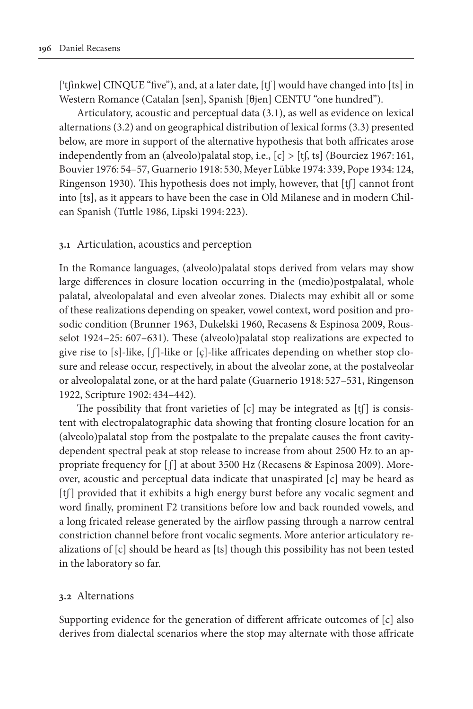['tfinkwe] CINQUE "five"), and, at a later date, [tf] would have changed into [ts] in Western Romance (Catalan [sen], Spanish [θjen] CENTU "one hundred").

Articulatory, acoustic and perceptual data (3.1), as well as evidence on lexical alternations (3.2) and on geographical distribution of lexical forms (3.3) presented below, are more in support of the alternative hypothesis that both affricates arose independently from an (alveolo)palatal stop, i.e.,  $[c] > [t]$ , ts] (Bourciez 1967: 161, Bouvier 1976: 54–57, Guarnerio 1918: 530, Meyer Lübke 1974: 339, Pope 1934: 124, Ringenson 1930). This hypothesis does not imply, however, that [tʃ ] cannot front into [ts], as it appears to have been the case in Old Milanese and in modern Chilean Spanish (Tuttle 1986, Lipski 1994: 223).

#### **3.1** Articulation, acoustics and perception

In the Romance languages, (alveolo)palatal stops derived from velars may show large differences in closure location occurring in the (medio)postpalatal, whole palatal, alveolopalatal and even alveolar zones. Dialects may exhibit all or some of these realizations depending on speaker, vowel context, word position and prosodic condition (Brunner 1963, Dukelski 1960, Recasens & Espinosa 2009, Rousselot 1924–25: 607–631). These (alveolo)palatal stop realizations are expected to give rise to [s]-like,  $[f]$ -like or [c]-like affricates depending on whether stop closure and release occur, respectively, in about the alveolar zone, at the postalveolar or alveolopalatal zone, or at the hard palate (Guarnerio 1918: 527–531, Ringenson 1922, Scripture 1902: 434–442).

The possibility that front varieties of [c] may be integrated as [tʃ ] is consistent with electropalatographic data showing that fronting closure location for an (alveolo)palatal stop from the postpalate to the prepalate causes the front cavitydependent spectral peak at stop release to increase from about 2500 Hz to an appropriate frequency for [ʃ ] at about 3500 Hz (Recasens & Espinosa 2009). Moreover, acoustic and perceptual data indicate that unaspirated [c] may be heard as [t] provided that it exhibits a high energy burst before any vocalic segment and word finally, prominent F2 transitions before low and back rounded vowels, and a long fricated release generated by the airflow passing through a narrow central constriction channel before front vocalic segments. More anterior articulatory realizations of [c] should be heard as [ts] though this possibility has not been tested in the laboratory so far.

## **3.2** Alternations

Supporting evidence for the generation of different affricate outcomes of [c] also derives from dialectal scenarios where the stop may alternate with those affricate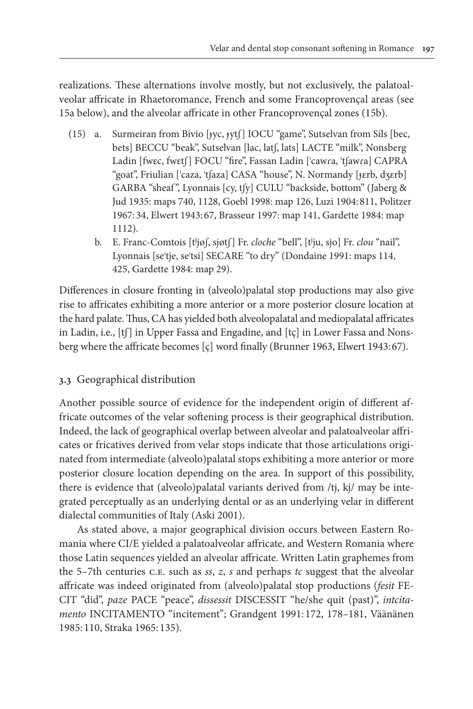realizations. These alternations involve mostly, but not exclusively, the palatoalveolar affricate in Rhaetoromance, French and some Francoprovençal areas (see 15a below), and the alveolar affricate in other Francoprovençal zones (15b).

- (15) a. Surmeiran from Bivio [ɟyc, ɟytʃ ] IOCU "game", Sutselvan from Sils [bec, bets] BECCU "beak", Sutselvan [lac, latʃ, lats] LACTE "milk", Nonsberg Ladin [fwɛc, fwɛtʃ ] FOCU "fire", Fassan Ladin [ˈcawɾa, ˈtʃawɾa] CAPRA "goat", Friulian [ˈcaza, ˈtʃaza] CASA "house", N. Normandy [ɟɛrb, dȝɛrb] GARBA "sheaf", Lyonnais [cy, t[y] CULU "backside, bottom" (Jaberg & Jud 1935: maps 740, 1128, Goebl 1998: map 126, Luzi 1904: 811, Politzer 1967: 34, Elwert 1943: 67, Brasseur 1997: map 141, Gardette 1984: map 1112).
- b. E. Franc-Comtois [tj jøʃ, sjøtʃ ] Fr. *cloche* "bell", [tj ju, sjo] Fr. *clou* "nail", Lyonnais [seˈtje, seˈtsi] SECARE "to dry" (Dondaine 1991: maps 114, 425, Gardette 1984: map 29).

Differences in closure fronting in (alveolo)palatal stop productions may also give rise to affricates exhibiting a more anterior or a more posterior closure location at the hard palate. Thus, CA has yielded both alveolopalatal and mediopalatal affricates in Ladin, i.e., [tʃ ] in Upper Fassa and Engadine, and [tç] in Lower Fassa and Nonsberg where the affricate becomes [ç] word finally (Brunner 1963, Elwert 1943:67).

## **3.3** Geographical distribution

Another possible source of evidence for the independent origin of different affricate outcomes of the velar softening process is their geographical distribution. Indeed, the lack of geographical overlap between alveolar and palatoalveolar affricates or fricatives derived from velar stops indicate that those articulations originated from intermediate (alveolo)palatal stops exhibiting a more anterior or more posterior closure location depending on the area. In support of this possibility, there is evidence that (alveolo)palatal variants derived from /tj, kj/ may be integrated perceptually as an underlying dental or as an underlying velar in different dialectal communities of Italy (Aski 2001).

As stated above, a major geographical division occurs between Eastern Romania where CI/E yielded a palatoalveolar affricate, and Western Romania where those Latin sequences yielded an alveolar affricate. Written Latin graphemes from the 5–7th centuries c.e. such as *ss*, *z*, *s* and perhaps *tc* suggest that the alveolar affricate was indeed originated from (alveolo)palatal stop productions (*fesit* FE-CIT "did", *paze* PACE "peace", *dissessit* DISCESSIT "he/she quit (past)", *intcitamento* INCITAMENTO "incitement"; Grandgent 1991: 172, 178–181, Väänänen 1985: 110, Straka 1965: 135).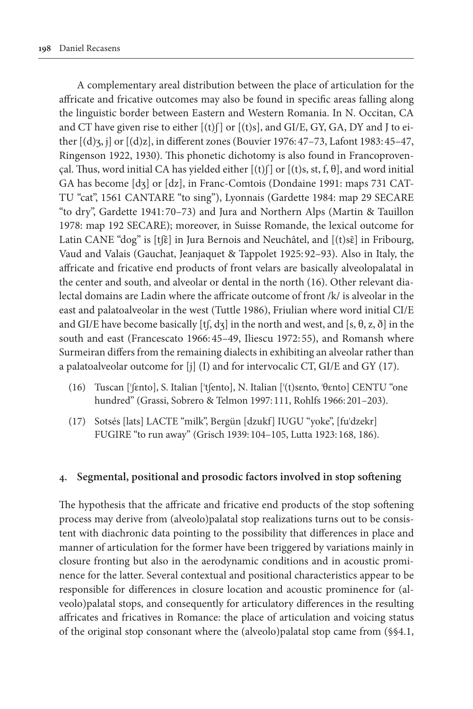A complementary areal distribution between the place of articulation for the affricate and fricative outcomes may also be found in specific areas falling along the linguistic border between Eastern and Western Romania. In N. Occitan, CA and CT have given rise to either  $[(t)]$  or  $[(t)s]$ , and GI/E, GY, GA, DY and J to either  $[(d)z$ , j $]$  or  $[(d)z]$ , in different zones (Bouvier 1976: 47–73, Lafont 1983: 45–47, Ringenson 1922, 1930). This phonetic dichotomy is also found in Francoprovencal. Thus, word initial CA has yielded either  $[(t)$  $[$  or  $[(t)s, st, f, θ]$ , and word initial GA has become [dȝ] or [dz], in Franc-Comtois (Dondaine 1991: maps 731 CAT-TU "cat", 1561 CANTARE "to sing"), Lyonnais (Gardette 1984: map 29 SECARE "to dry", Gardette 1941: 70–73) and Jura and Northern Alps (Martin & Tauillon 1978: map 192 SECARE); moreover, in Suisse Romande, the lexical outcome for Latin CANE "dog" is [t[ɛ̃] in Jura Bernois and Neuchâtel, and [(t)sɛ̃] in Fribourg, Vaud and Valais (Gauchat, Jeanjaquet & Tappolet 1925: 92–93). Also in Italy, the affricate and fricative end products of front velars are basically alveolopalatal in the center and south, and alveolar or dental in the north (16). Other relevant dialectal domains are Ladin where the affricate outcome of front /k/ is alveolar in the east and palatoalveolar in the west (Tuttle 1986), Friulian where word initial CI/E and GI/E have become basically [tf, d $\tau$ ] in the north and west, and [s,  $\theta$ , z,  $\delta$ ] in the south and east (Francescato 1966: 45–49, Iliescu 1972: 55), and Romansh where Surmeiran differs from the remaining dialects in exhibiting an alveolar rather than a palatoalveolar outcome for [j] (I) and for intervocalic CT, GI/E and GY (17).

- (16) Tuscan [ˈʃɛnto], S. Italian [ˈtʃento], N. Italian [ˈ(t)sɛnto, ˈθɛnto] CENTU "one hundred" (Grassi, Sobrero & Telmon 1997: 111, Rohlfs 1966: 201–203).
- (17) Sotsés [lats] LACTE "milk", Bergün [dzukf] IUGU "yoke", [fuˈdzekr] FUGIRE "to run away" (Grisch 1939: 104–105, Lutta 1923: 168, 186).

## **4. Segmental, positional and prosodic factors involved in stop softening**

The hypothesis that the affricate and fricative end products of the stop softening process may derive from (alveolo)palatal stop realizations turns out to be consistent with diachronic data pointing to the possibility that differences in place and manner of articulation for the former have been triggered by variations mainly in closure fronting but also in the aerodynamic conditions and in acoustic prominence for the latter. Several contextual and positional characteristics appear to be responsible for differences in closure location and acoustic prominence for (alveolo)palatal stops, and consequently for articulatory differences in the resulting affricates and fricatives in Romance: the place of articulation and voicing status of the original stop consonant where the (alveolo)palatal stop came from (§§4.1,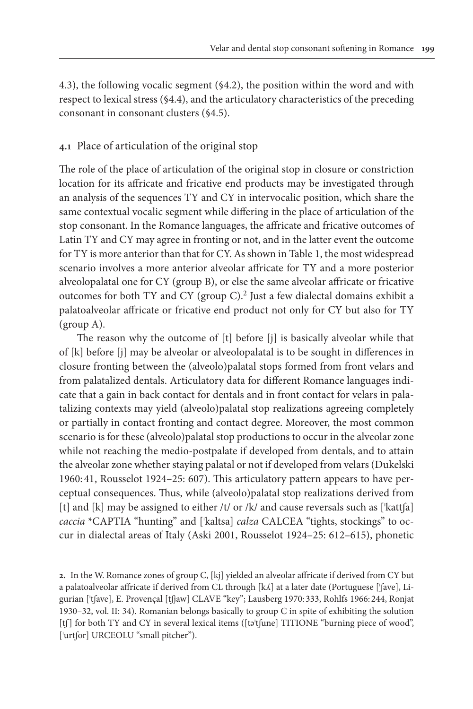4.3), the following vocalic segment (§4.2), the position within the word and with respect to lexical stress (§4.4), and the articulatory characteristics of the preceding consonant in consonant clusters (§4.5).

## **4.1** Place of articulation of the original stop

The role of the place of articulation of the original stop in closure or constriction location for its affricate and fricative end products may be investigated through an analysis of the sequences TY and CY in intervocalic position, which share the same contextual vocalic segment while differing in the place of articulation of the stop consonant. In the Romance languages, the affricate and fricative outcomes of Latin TY and CY may agree in fronting or not, and in the latter event the outcome for TY is more anterior than that for CY. As shown in Table 1, the most widespread scenario involves a more anterior alveolar affricate for TY and a more posterior alveolopalatal one for CY (group B), or else the same alveolar affricate or fricative outcomes for both TY and CY (group C).2 Just a few dialectal domains exhibit a palatoalveolar affricate or fricative end product not only for CY but also for TY (group A).

The reason why the outcome of [t] before [j] is basically alveolar while that of [k] before [j] may be alveolar or alveolopalatal is to be sought in differences in closure fronting between the (alveolo)palatal stops formed from front velars and from palatalized dentals. Articulatory data for different Romance languages indicate that a gain in back contact for dentals and in front contact for velars in palatalizing contexts may yield (alveolo)palatal stop realizations agreeing completely or partially in contact fronting and contact degree. Moreover, the most common scenario is for these (alveolo)palatal stop productions to occur in the alveolar zone while not reaching the medio-postpalate if developed from dentals, and to attain the alveolar zone whether staying palatal or not if developed from velars (Dukelski 1960: 41, Rousselot 1924–25: 607). This articulatory pattern appears to have perceptual consequences. Thus, while (alveolo)palatal stop realizations derived from [t] and [k] may be assigned to either /t/ or /k/ and cause reversals such as ['kattfa] *caccia* \*CAPTIA "hunting" and [ˈkaltsa] *calza* CALCEA "tights, stockings" to occur in dialectal areas of Italy (Aski 2001, Rousselot 1924–25: 612–615), phonetic

**<sup>2.</sup>** In the W. Romance zones of group C, [kj] yielded an alveolar affricate if derived from CY but a palatoalveolar affricate if derived from CL through [kʎ] at a later date (Portuguese [ˈʃave], Ligurian [ˈtʃave], E. Provençal [tʃjaw] CLAVE "key"; Lausberg 1970: 333, Rohlfs 1966: 244, Ronjat 1930–32, vol. II: 34). Romanian belongs basically to group C in spite of exhibiting the solution [tʃ] for both TY and CY in several lexical items ([tǝ'tʃune] TITIONE "burning piece of wood", ['urtfor] URCEOLU "small pitcher").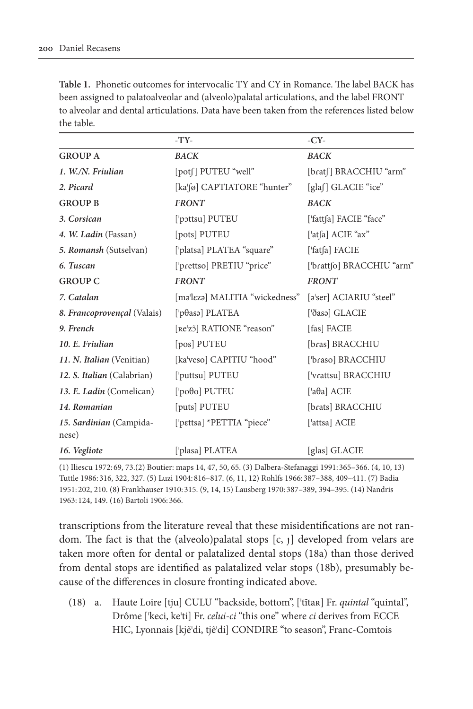**Table 1.** Phonetic outcomes for intervocalic TY and CY in Romance. The label BACK has been assigned to palatoalveolar and (alveolo)palatal articulations, and the label FRONT to alveolar and dental articulations. Data have been taken from the references listed below the table.

|                                  | $-TY-$                         | $-CY-$                    |
|----------------------------------|--------------------------------|---------------------------|
| <b>GROUP A</b>                   | <b>BACK</b>                    | <b>BACK</b>               |
| 1. W./N. Friulian                | [potf] PUTEU "well"            | [bratf] BRACCHIU "arm"    |
| 2. Picard                        | [ka'fø] CAPTIATORE "hunter"    | [glaf] GLACIE "ice"       |
| <b>GROUP B</b>                   | <b>FRONT</b>                   | <b>BACK</b>               |
| 3. Corsican                      | ['pɔttsu] PUTEU                | ['fattfa] FACIE "face"    |
| 4. W. Ladin (Fassan)             | [pots] PUTEU                   | ['atfa] ACIE "ax"         |
| 5. Romansh (Sutselvan)           | ['platsa] PLATEA "square"      | ['fatfa] FACIE            |
| 6. Tuscan                        | ['prettso] PRETIU "price"      | ['brattfo] BRACCHIU "arm" |
| <b>GROUP C</b>                   | <b>FRONT</b>                   | <b>FRONT</b>              |
| 7. Catalan                       | [ma'lɛzə] MALITIA "wickedness" | [a'ser] ACIARIU "steel"   |
| 8. Francoprovençal (Valais)      | ['pθasə] PLATEA                | ['ðasə] GLACIE            |
| 9. French                        | [Re'z5] RATIONE "reason"       | [fas] FACIE               |
| 10. E. Friulian                  | [pos] PUTEU                    | [bras] BRACCHIU           |
| 11. N. Italian (Venitian)        | [ka'veso] CAPITIU "hood"       | ['braso] BRACCHIU         |
| 12. S. Italian (Calabrian)       | ['puttsu] PUTEU                | ['vrattsu] BRACCHIU       |
| 13. E. Ladin (Comelican)         | ['poθo] PUTEU                  | [ $d\theta$ a] ACIE       |
| 14. Romanian                     | [puts] PUTEU                   | [brats] BRACCHIU          |
| 15. Sardinian (Campida-<br>nese) | ['pɛttsa] *PETTIA "piece"      | ['attsa] ACIE             |
| 16. Vegliote                     | ['plasa] PLATEA                | [glas] GLACIE             |

(1) Iliescu 1972: 69, 73.(2) Boutier: maps 14, 47, 50, 65. (3) Dalbera-Stefanaggi 1991: 365–366. (4, 10, 13) Tuttle 1986: 316, 322, 327. (5) Luzi 1904: 816–817. (6, 11, 12) Rohlfs 1966: 387–388, 409–411. (7) Badia 1951: 202, 210. (8) Frankhauser 1910: 315. (9, 14, 15) Lausberg 1970: 387–389, 394–395. (14) Nandris 1963: 124, 149. (16) Bartoli 1906: 366.

transcriptions from the literature reveal that these misidentifications are not random. The fact is that the (alveolo)palatal stops  $[c, t]$  developed from velars are taken more often for dental or palatalized dental stops (18a) than those derived from dental stops are identified as palatalized velar stops (18b), presumably because of the differences in closure fronting indicated above.

(18) a. Haute Loire [tju] CULU "backside, bottom", [ˈtĩtaʀ] Fr. *quintal* "quintal", Drôme [ˈkeci, keˈti] Fr. *celui-ci* "this one" where *ci* derives from ECCE HIC, Lyonnais [kjẽˈdi, tjẽˈdi] CONDIRE "to season", Franc-Comtois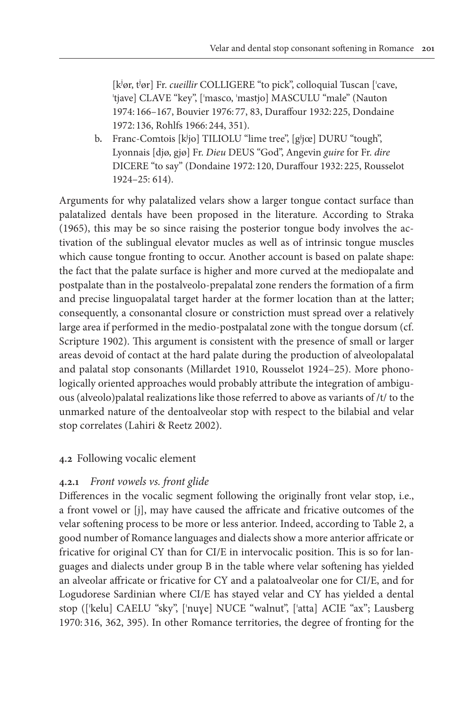[k<sup>j</sup>ør, t<sup>j</sup>ør] Fr. *cueillir* COLLIGERE "to pick", colloquial Tuscan ['cave, ˈtjave] CLAVE "key", [ˈmasco, ˈmastjo] MASCULU "male" (Nauton 1974: 166–167, Bouvier 1976: 77, 83, Duraffour 1932: 225, Dondaine 1972: 136, Rohlfs 1966: 244, 351).

b. Franc-Comtois [kʲjo] TILIOLU "lime tree", [g<sup>j</sup>jœ] DURU "tough", Lyonnais [djø, gjø] Fr. *Dieu* DEUS "God", Angevin *guire* for Fr. *dire* DICERE "to say" (Dondaine 1972: 120, Duraffour 1932: 225, Rousselot 1924–25: 614).

Arguments for why palatalized velars show a larger tongue contact surface than palatalized dentals have been proposed in the literature. According to Straka (1965), this may be so since raising the posterior tongue body involves the activation of the sublingual elevator mucles as well as of intrinsic tongue muscles which cause tongue fronting to occur. Another account is based on palate shape: the fact that the palate surface is higher and more curved at the mediopalate and postpalate than in the postalveolo-prepalatal zone renders the formation of a firm and precise linguopalatal target harder at the former location than at the latter; consequently, a consonantal closure or constriction must spread over a relatively large area if performed in the medio-postpalatal zone with the tongue dorsum (cf. Scripture 1902). This argument is consistent with the presence of small or larger areas devoid of contact at the hard palate during the production of alveolopalatal and palatal stop consonants (Millardet 1910, Rousselot 1924–25). More phonologically oriented approaches would probably attribute the integration of ambiguous (alveolo)palatal realizations like those referred to above as variants of /t/ to the unmarked nature of the dentoalveolar stop with respect to the bilabial and velar stop correlates (Lahiri & Reetz 2002).

# **4.2** Following vocalic element

# **4.2.1** *Front vowels vs. front glide*

Differences in the vocalic segment following the originally front velar stop, i.e., a front vowel or [j], may have caused the affricate and fricative outcomes of the velar softening process to be more or less anterior. Indeed, according to Table 2, a good number of Romance languages and dialects show a more anterior affricate or fricative for original CY than for CI/E in intervocalic position. This is so for languages and dialects under group B in the table where velar softening has yielded an alveolar affricate or fricative for CY and a palatoalveolar one for CI/E, and for Logudorese Sardinian where CI/E has stayed velar and CY has yielded a dental stop ([ˈkelu] CAELU "sky", [ˈnuɣe] NUCE "walnut", [ˈatta] ACIE "ax"; Lausberg 1970: 316, 362, 395). In other Romance territories, the degree of fronting for the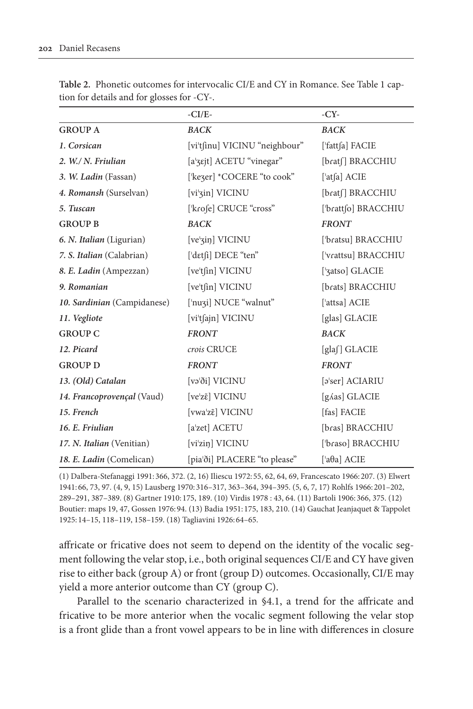|                             | $-CI/E-$                      | $-CY-$               |
|-----------------------------|-------------------------------|----------------------|
| <b>GROUP A</b>              | <b>BACK</b>                   | <b>BACK</b>          |
| 1. Corsican                 | [vi'tfinu] VICINU "neighbour" | ['fattfa] FACIE      |
| 2. W./ N. Friulian          | [a'3ɛjt] ACETU "vinegar"      | [bratf] BRACCHIU     |
| 3. W. Ladin (Fassan)        | ['kezer] *COCERE "to cook"    | ['atfa] ACIE         |
| 4. Romansh (Surselvan)      | [vi'3in] VICINU               | [bratf] BRACCHIU     |
| 5. Tuscan                   | ['krofe] CRUCE "cross"        | ['brattfo] BRACCHIU  |
| <b>GROUP B</b>              | <b>BACK</b>                   | <b>FRONT</b>         |
| 6. N. Italian (Ligurian)    | [ve'3in] VICINU               | ['bratsu] BRACCHIU   |
| 7. S. Italian (Calabrian)   | ['dɛtfi] DECE "ten"           | ['vrattsu] BRACCHIU  |
| 8. E. Ladin (Ampezzan)      | [ve'tfin] VICINU              | ['3atso] GLACIE      |
| 9. Romanian                 | [ve <sup>'t</sup> fin] VICINU | [brats] BRACCHIU     |
| 10. Sardinian (Campidanese) | ['nuʒi] NUCE "walnut"         | ['attsa] ACIE        |
| 11. Vegliote                | [vi'tfajn] VICINU             | [glas] GLACIE        |
| <b>GROUP C</b>              | <b>FRONT</b>                  | <b>BACK</b>          |
| 12. Picard                  | crois CRUCE                   | [glaf] GLACIE        |
| <b>GROUP D</b>              | <b>FRONT</b>                  | <b>FRONT</b>         |
| 13. (Old) Catalan           | [vəˈði] VICINU                | [əˈser] ACIARIU      |
| 14. Francoprovençal (Vaud)  | [ve'zɛ̃] VICINU               | [g/as] GLACIE        |
| 15. French                  | [vwa'zɛ̃] VICINU              | [fas] FACIE          |
| 16. E. Friulian             | [a'zet] ACETU                 | [bras] BRACCHIU      |
| 17. N. Italian (Venitian)   | [vi'zin] VICINU               | ['braso] BRACCHIU    |
| 18. E. Ladin (Comelican)    | [pia'ði] PLACERE "to please"  | ['a $\theta$ a] ACIE |

**Table 2.** Phonetic outcomes for intervocalic CI/E and CY in Romance. See Table 1 caption for details and for glosses for -CY-.

(1) Dalbera-Stefanaggi 1991: 366, 372. (2, 16) Iliescu 1972: 55, 62, 64, 69, Francescato 1966: 207. (3) Elwert 1941: 66, 73, 97. (4, 9, 15) Lausberg 1970: 316–317, 363–364, 394–395. (5, 6, 7, 17) Rohlfs 1966: 201–202, 289–291, 387–389. (8) Gartner 1910: 175, 189. (10) Virdis 1978 : 43, 64. (11) Bartoli 1906: 366, 375. (12) Boutier: maps 19, 47, Gossen 1976: 94. (13) Badia 1951: 175, 183, 210. (14) Gauchat Jeanjaquet & Tappolet 1925: 14–15, 118–119, 158–159. (18) Tagliavini 1926: 64–65.

affricate or fricative does not seem to depend on the identity of the vocalic segment following the velar stop, i.e., both original sequences CI/E and CY have given rise to either back (group A) or front (group D) outcomes. Occasionally, CI/E may yield a more anterior outcome than CY (group C).

Parallel to the scenario characterized in §4.1, a trend for the affricate and fricative to be more anterior when the vocalic segment following the velar stop is a front glide than a front vowel appears to be in line with differences in closure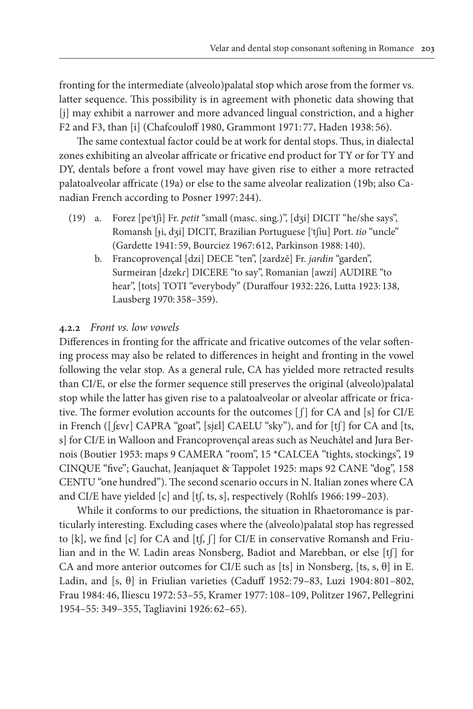fronting for the intermediate (alveolo)palatal stop which arose from the former vs. latter sequence. This possibility is in agreement with phonetic data showing that [j] may exhibit a narrower and more advanced lingual constriction, and a higher F2 and F3, than [i] (Chafcouloff 1980, Grammont 1971: 77, Haden 1938: 56).

The same contextual factor could be at work for dental stops. Thus, in dialectal zones exhibiting an alveolar affricate or fricative end product for TY or for TY and DY, dentals before a front vowel may have given rise to either a more retracted palatoalveolar affricate (19a) or else to the same alveolar realization (19b; also Canadian French according to Posner 1997: 244).

- (19) a. Forez [peˈtʃi] Fr. *petit* "small (masc. sing.)", [dȝi] DICIT "he/she says", Romansh [ɟi, dȝi] DICIT, Brazilian Portuguese [ˈtʃiu] Port. *tio* "uncle" (Gardette 1941: 59, Bourciez 1967: 612, Parkinson 1988: 140).
	- b. Francoprovençal [dzi] DECE "ten", [zardzẽ] Fr. *jardin* "garden", Surmeiran [dzekɾ] DICERE "to say", Romanian [awzí] AUDIRE "to hear", [tots] TOTI "everybody" (Duraffour 1932: 226, Lutta 1923: 138, Lausberg 1970: 358–359).

# **4.2.2** *Front vs. low vowels*

Differences in fronting for the affricate and fricative outcomes of the velar softening process may also be related to differences in height and fronting in the vowel following the velar stop. As a general rule, CA has yielded more retracted results than CI/E, or else the former sequence still preserves the original (alveolo)palatal stop while the latter has given rise to a palatoalveolar or alveolar affricate or fricative. The former evolution accounts for the outcomes [ʃ ] for CA and [s] for CI/E in French ([ʃɛvɾ] CAPRA "goat", [sjɛl] CAELU "sky"), and for [tʃ ] for CA and [ts, s] for CI/E in Walloon and Francoprovençal areas such as Neuchâtel and Jura Bernois (Boutier 1953: maps 9 CAMERA "room", 15 \*CALCEA "tights, stockings", 19 CINQUE "five"; Gauchat, Jeanjaquet & Tappolet 1925: maps 92 CANE "dog", 158 CENTU "one hundred"). The second scenario occurs in N. Italian zones where CA and CI/E have yielded [c] and [tʃ, ts, s], respectively (Rohlfs 1966: 199–203).

While it conforms to our predictions, the situation in Rhaetoromance is particularly interesting. Excluding cases where the (alveolo)palatal stop has regressed to [k], we find [c] for CA and [tʃ, ʃ ] for CI/E in conservative Romansh and Friulian and in the W. Ladin areas Nonsberg, Badiot and Marebban, or else [tʃ ] for CA and more anterior outcomes for CI/E such as [ts] in Nonsberg, [ts, s,  $\theta$ ] in E. Ladin, and [s, θ] in Friulian varieties (Caduff 1952: 79–83, Luzi 1904: 801–802, Frau 1984: 46, Iliescu 1972: 53–55, Kramer 1977: 108–109, Politzer 1967, Pellegrini 1954–55: 349–355, Tagliavini 1926: 62–65).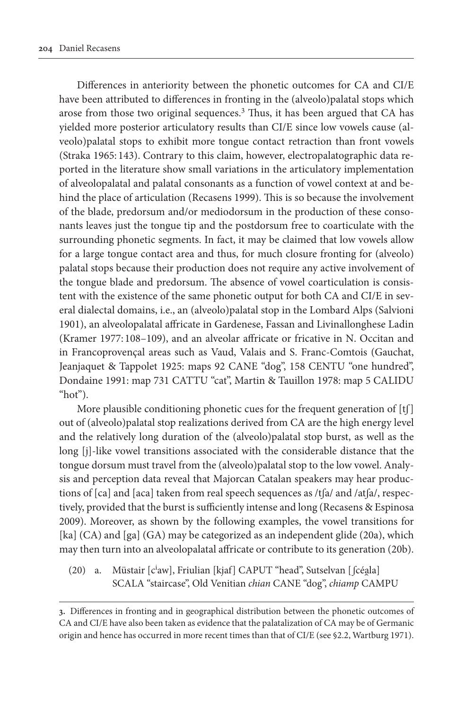Differences in anteriority between the phonetic outcomes for CA and CI/E have been attributed to differences in fronting in the (alveolo)palatal stops which arose from those two original sequences.<sup>3</sup> Thus, it has been argued that CA has yielded more posterior articulatory results than CI/E since low vowels cause (alveolo)palatal stops to exhibit more tongue contact retraction than front vowels (Straka 1965: 143). Contrary to this claim, however, electropalatographic data reported in the literature show small variations in the articulatory implementation of alveolopalatal and palatal consonants as a function of vowel context at and behind the place of articulation (Recasens 1999). This is so because the involvement of the blade, predorsum and/or mediodorsum in the production of these consonants leaves just the tongue tip and the postdorsum free to coarticulate with the surrounding phonetic segments. In fact, it may be claimed that low vowels allow for a large tongue contact area and thus, for much closure fronting for (alveolo) palatal stops because their production does not require any active involvement of the tongue blade and predorsum. The absence of vowel coarticulation is consistent with the existence of the same phonetic output for both CA and CI/E in several dialectal domains, i.e., an (alveolo)palatal stop in the Lombard Alps (Salvioni 1901), an alveolopalatal affricate in Gardenese, Fassan and Livinallonghese Ladin (Kramer 1977: 108–109), and an alveolar affricate or fricative in N. Occitan and in Francoprovençal areas such as Vaud, Valais and S. Franc-Comtois (Gauchat, Jeanjaquet & Tappolet 1925: maps 92 CANE "dog", 158 CENTU "one hundred", Dondaine 1991: map 731 CATTU "cat", Martin & Tauillon 1978: map 5 CALIDU " $hot$ ").

More plausible conditioning phonetic cues for the frequent generation of [tf] out of (alveolo)palatal stop realizations derived from CA are the high energy level and the relatively long duration of the (alveolo)palatal stop burst, as well as the long [j]-like vowel transitions associated with the considerable distance that the tongue dorsum must travel from the (alveolo)palatal stop to the low vowel. Analysis and perception data reveal that Majorcan Catalan speakers may hear productions of [ca] and [aca] taken from real speech sequences as /tʃa/ and /atʃa/, respectively, provided that the burst is sufficiently intense and long (Recasens & Espinosa 2009). Moreover, as shown by the following examples, the vowel transitions for [ka] (CA) and [ga] (GA) may be categorized as an independent glide (20a), which may then turn into an alveolopalatal affricate or contribute to its generation (20b).

(20) a. Müstair [c<sup>i</sup>aw], Friulian [kjaf] CAPUT "head", Sutselvan [fcéa̯la] SCALA "staircase", Old Venitian *chian* CANE "dog", *chiamp* CAMPU

**<sup>3.</sup>** Differences in fronting and in geographical distribution between the phonetic outcomes of CA and CI/E have also been taken as evidence that the palatalization of CA may be of Germanic origin and hence has occurred in more recent times than that of CI/E (see §2.2, Wartburg 1971).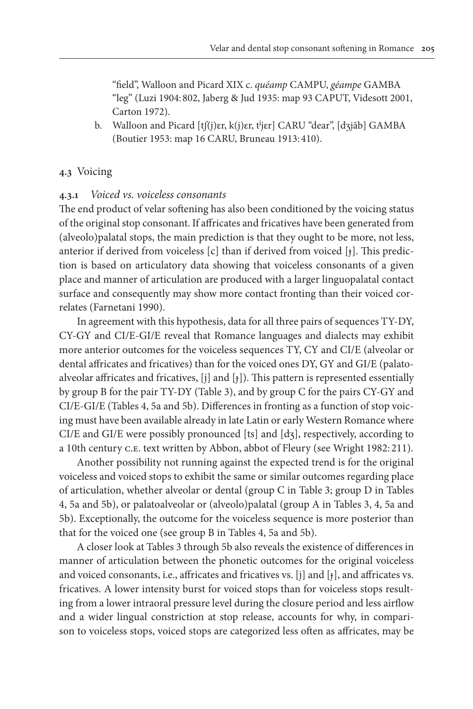"field", Walloon and Picard XIX c. *quéamp* CAMPU, *géampe* GAMBA "leg" (Luzi 1904: 802, Jaberg & Jud 1935: map 93 CAPUT, Videsott 2001, Carton 1972).

b. Walloon and Picard [tʃ(j)ɛr, k(j)ɛr, tʲjɛr] CARU "dear", [dʒjãb] GAMBA (Boutier 1953: map 16 CARU, Bruneau 1913: 410).

## **4.3** Voicing

## **4.3.1** *Voiced vs. voiceless consonants*

The end product of velar softening has also been conditioned by the voicing status of the original stop consonant. If affricates and fricatives have been generated from (alveolo)palatal stops, the main prediction is that they ought to be more, not less, anterior if derived from voiceless [c] than if derived from voiced [ɟ]. This prediction is based on articulatory data showing that voiceless consonants of a given place and manner of articulation are produced with a larger linguopalatal contact surface and consequently may show more contact fronting than their voiced correlates (Farnetani 1990).

In agreement with this hypothesis, data for all three pairs of sequences TY-DY, CY-GY and CI/E-GI/E reveal that Romance languages and dialects may exhibit more anterior outcomes for the voiceless sequences TY, CY and CI/E (alveolar or dental affricates and fricatives) than for the voiced ones DY, GY and GI/E (palatoalveolar affricates and fricatives, [j] and [ɟ]). This pattern is represented essentially by group B for the pair TY-DY (Table 3), and by group C for the pairs CY-GY and CI/E-GI/E (Tables 4, 5a and 5b). Differences in fronting as a function of stop voicing must have been available already in late Latin or early Western Romance where CI/E and GI/E were possibly pronounced [ts] and [dȝ], respectively, according to a 10th century c.e. text written by Abbon, abbot of Fleury (see Wright 1982: 211).

Another possibility not running against the expected trend is for the original voiceless and voiced stops to exhibit the same or similar outcomes regarding place of articulation, whether alveolar or dental (group C in Table 3; group D in Tables 4, 5a and 5b), or palatoalveolar or (alveolo)palatal (group A in Tables 3, 4, 5a and 5b). Exceptionally, the outcome for the voiceless sequence is more posterior than that for the voiced one (see group B in Tables 4, 5a and 5b).

A closer look at Tables 3 through 5b also reveals the existence of differences in manner of articulation between the phonetic outcomes for the original voiceless and voiced consonants, i.e., affricates and fricatives vs. [j] and [ɟ], and affricates vs. fricatives. A lower intensity burst for voiced stops than for voiceless stops resulting from a lower intraoral pressure level during the closure period and less airflow and a wider lingual constriction at stop release, accounts for why, in comparison to voiceless stops, voiced stops are categorized less often as affricates, may be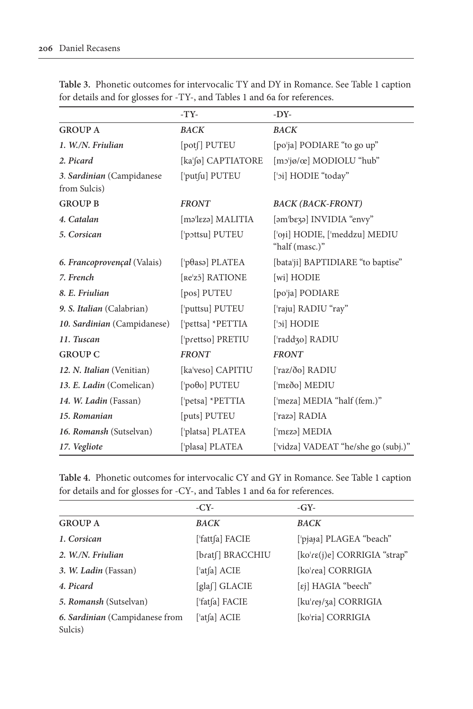|                                           | $-TY-$                | $-DY-$                                                       |
|-------------------------------------------|-----------------------|--------------------------------------------------------------|
| <b>GROUP A</b>                            | <b>BACK</b>           | <b>BACK</b>                                                  |
| 1. W./N. Friulian                         | [potf] PUTEU          | [po'ja] PODIARE "to go up"                                   |
| 2. Picard                                 | [ka'fø] CAPTIATORE    | [mɔ'jø/œ] MODIOLU "hub"                                      |
| 3. Sardinian (Campidanese<br>from Sulcis) | ['putfu] PUTEU        | ['bi] HODIE "today"                                          |
| <b>GROUP B</b>                            | <b>FRONT</b>          | <b>BACK (BACK-FRONT)</b>                                     |
| 4. Catalan                                | [məˈlɛzə] MALITIA     | [am'bɛʒə] INVIDIA "envy"                                     |
| 5. Corsican                               | ['pɔttsu] PUTEU       | ['o <sub>t</sub> i] HODIE, ['meddzu] MEDIU<br>"half (masc.)" |
| 6. Francoprovençal (Valais)               | [ $\beta$ asə] PLATEA | [bata'ji] BAPTIDIARE "to baptise"                            |
| 7. French                                 | [Re'zɔ̃] RATIONE      | [wi] HODIE                                                   |
| 8. E. Friulian                            | [pos] PUTEU           | [po <sup>'</sup> ja] PODIARE                                 |
| 9. S. Italian (Calabrian)                 | ['puttsu] PUTEU       | ['raju] RADIU "ray"                                          |
| 10. Sardinian (Campidanese)               | ['pɛttsa] *PETTIA     | ['bi] HODIE                                                  |
| 11. Tuscan                                | ['prettso] PRETIU     | ['radd30] RADIU                                              |
| <b>GROUP C</b>                            | <b>FRONT</b>          | <b>FRONT</b>                                                 |
| 12. N. Italian (Venitian)                 | [ka'veso] CAPITIU     | ['raz/ðo] RADIU                                              |
| 13. E. Ladin (Comelican)                  | ['poθo] PUTEU         | ['mɛðo] MEDIU                                                |
| 14. W. Ladin (Fassan)                     | ['petsa] *PETTIA      | ['meza] MEDIA "half (fem.)"                                  |
| 15. Romanian                              | [puts] PUTEU          | ['razə] RADIA                                                |
| 16. Romansh (Sutselvan)                   | ['platsa] PLATEA      | ['mɛzə] MEDIA                                                |
| 17. Vegliote                              | ['plasa] PLATEA       | ['vidza] VADEAT "he/she go (subj.)"                          |

**Table 3.** Phonetic outcomes for intervocalic TY and DY in Romance. See Table 1 caption for details and for glosses for -TY-, and Tables 1 and 6a for references.

| Table 4. Phonetic outcomes for intervocalic CY and GY in Romance. See Table 1 caption |  |  |  |
|---------------------------------------------------------------------------------------|--|--|--|
| for details and for glosses for -CY-, and Tables 1 and 6a for references.             |  |  |  |

|                                           | $-CY-$                         | $-GY$ -                      |
|-------------------------------------------|--------------------------------|------------------------------|
| <b>GROUP A</b>                            | BACK                           | BACK                         |
| 1. Corsican                               | ['fattfa] FACIE                | ['pjata] PLAGEA "beach"      |
| 2. W./N. Friulian                         | [bratf] BRACCHIU               | [ko'rɛ(j)e] CORRIGIA "strap" |
| 3. W. Ladin (Fassan)                      | $[$ <sup>'</sup> at $[a]$ ACIE | [ko'rea] CORRIGIA            |
| 4. Picard                                 | [glaf] GLACIE                  | [εj] HAGIA "beech"           |
| 5. Romansh (Sutselvan)                    | ['fatfa] FACIE                 | [ku'rej/3a] CORRIGIA         |
| 6. Sardinian (Campidanese from<br>Sulcis) | $[$ <sup>'</sup> at $[a]$ ACIE | [koˈria] CORRIGIA            |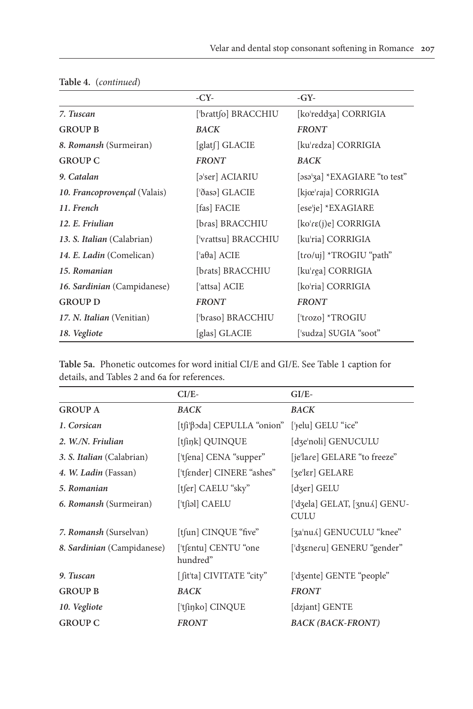|                              | $-CY-$               | $-GY-$                                |
|------------------------------|----------------------|---------------------------------------|
| 7. Tuscan                    | ['brattfo] BRACCHIU  | [koˈreddʒa] CORRIGIA                  |
| <b>GROUP B</b>               | <b>BACK</b>          | <b>FRONT</b>                          |
| 8. Romansh (Surmeiran)       | [glatf] GLACIE       | [kuˈɾɛdza] CORRIGIA                   |
| <b>GROUP C</b>               | <b>FRONT</b>         | <b>BACK</b>                           |
| 9. Catalan                   | [əˈser] ACIARIU      | [əsə'ʒa] *EXAGIARE "to test"          |
| 10. Francoprovençal (Valais) | ['ðasə] GLACIE       | [kjœ <sup><i>raja]</i> CORRIGIA</sup> |
| 11. French                   | [fas] FACIE          | [ese <sup>l</sup> je] *EXAGIARE       |
| 12. E. Friulian              | [bras] BRACCHIU      | $[ko'r\epsilon(j)e] CORRIGIA$         |
| 13. S. Italian (Calabrian)   | ['vrattsu] BRACCHIU  | [kuˈria] CORRIGIA                     |
| 14. E. Ladin (Comelican)     | ['a $\theta$ a] ACIE | [tro/uj] *TROGIU "path"               |
| 15. Romanian                 | [brats] BRACCHIU     | [kuˈɾea] CORRIGIA                     |
| 16. Sardinian (Campidanese)  | ['attsa] ACIE        | [ko'ria] CORRIGIA                     |
| <b>GROUP D</b>               | <b>FRONT</b>         | <b>FRONT</b>                          |
| 17. N. Italian (Venitian)    | ['braso] BRACCHIU    | ['trozo] *TROGIU                      |
| 18. Vegliote                 | [glas] GLACIE        | ['sudza] SUGIA "soot"                 |

**Table 4.** (*continued*)

**Table 5a.** Phonetic outcomes for word initial CI/E and GI/E. See Table 1 caption for details, and Tables 2 and 6a for references.

|                            | $CI/E-$                              | $GI/E-$                                     |
|----------------------------|--------------------------------------|---------------------------------------------|
| <b>GROUP A</b>             | BACK                                 | <b>BACK</b>                                 |
| 1. Corsican                | [tʃiˈβɔda] CEPULLA "onion"           | ['telu] GELU "ice"                          |
| 2. W./N. Friulian          | [tʃink] QUINQUE                      | [dʒeˈnoli] GENUCULU                         |
| 3. S. Italian (Calabrian)  | ['t[ena] CENA "supper"               | [je'lare] GELARE "to freeze"                |
| 4. W. Ladin (Fassan)       | ['t[ender] CINERE "ashes"            | [ze'lɛr] GELARE                             |
| 5. Romanian                | [t[er] CAELU "sky"                   | [dʒer] GELU                                 |
| 6. Romansh (Surmeiran)     | ['tʃiəl] CAELU                       | ['dʒela] GELAT, [ʒnuʎ] GENU-<br><b>CULU</b> |
| 7. Romansh (Surselvan)     | [t[un] CINQUE "five"                 | [3a'nu A] GENUCULU "knee"                   |
| 8. Sardinian (Campidanese) | ['t[entu] CENTU "one<br>hundred"     | ['d3eneru] GENERU "gender"                  |
| 9. Tuscan                  | [fit <sup>'ta]</sup> CIVITATE "city" | ['dʒente] GENTE "people"                    |
| <b>GROUP B</b>             | <b>BACK</b>                          | <b>FRONT</b>                                |
| 10. Vegliote               | ['tʃiŋko] CINQUE                     | [dzjant] GENTE                              |
| <b>GROUP C</b>             | <b>FRONT</b>                         | <b>BACK (BACK-FRONT)</b>                    |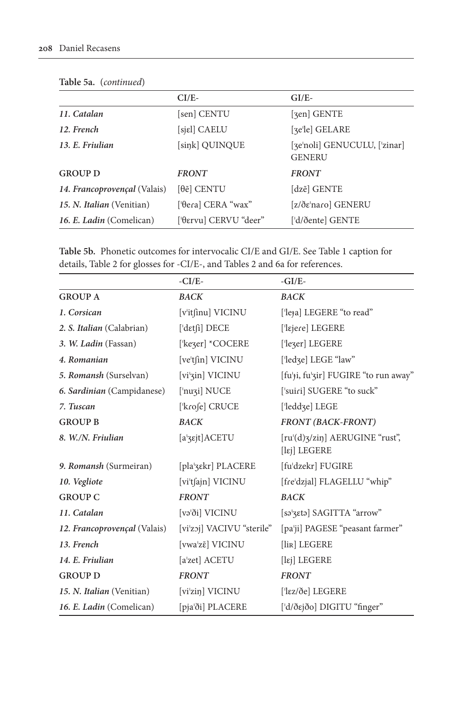|                              | $CI/E-$                        | $GI/E-$                                       |
|------------------------------|--------------------------------|-----------------------------------------------|
| 11. Catalan                  | [sen] CENTU                    | [3en] GENTE                                   |
| 12. French                   | [sjɛl] CAELU                   | [3e'le] GELARE                                |
| 13. E. Friulian              | [sink] QUINQUE                 | [ze'noli] GENUCULU, ['zinar]<br><b>GENERU</b> |
| <b>GROUP D</b>               | <b>FRONT</b>                   | <b>FRONT</b>                                  |
| 14. Francoprovençal (Valais) | [θẽ] CENTU                     | [dzẽ] GENTE                                   |
| 15. N. Italian (Venitian)    | $[$ ' $\theta$ era] CERA "wax" | [z/ðɛˈnaɾo] GENERU                            |
| 16. E. Ladin (Comelican)     | [ˈθεrvu] CERVU "deer"          | ['d/ðente] GENTE                              |

**Table 5b.** Phonetic outcomes for intervocalic CI/E and GI/E. See Table 1 caption for details, Table 2 for glosses for -CI/E-, and Tables 2 and 6a for references.

|                              | $-CI/E-$                       | $-GI/E-$                                          |
|------------------------------|--------------------------------|---------------------------------------------------|
| <b>GROUP A</b>               | <b>BACK</b>                    | <b>BACK</b>                                       |
| 1. Corsican                  | [v <sup>i</sup> itfinu] VICINU | ['le <sub>j</sub> a] LEGERE "to read"             |
| 2. S. Italian (Calabrian)    | ['dɛtʃi] DECE                  | ['lɛjere] LEGERE                                  |
| 3. W. Ladin (Fassan)         | ['ke3er] *COCERE               | ['lezer] LEGERE                                   |
| 4. Romanian                  | [ve'tfin] VICINU               | ['ledze] LEGE "law"                               |
| 5. Romansh (Surselvan)       | [vi'3in] VICINU                | [fu' <sub>j</sub> i, fu'zir] FUGIRE "to run away" |
| 6. Sardinian (Campidanese)   | ['nuʒi] NUCE                   | ['suiri] SUGERE "to suck"                         |
| 7. Tuscan                    | ['krofe] CRUCE                 | ['ledd3e] LEGE                                    |
| <b>GROUP B</b>               | <b>BACK</b>                    | <b>FRONT (BACK-FRONT)</b>                         |
| 8. W./N. Friulian            | [a'3ɛjt]ACETU                  | [ru'(d)3/ziŋ] AERUGINE "rust",<br>[lɛj] LEGERE    |
| 9. Romansh (Surmeiran)       | [pla'3εkr] PLACERE             | [fu'dzekr] FUGIRE                                 |
| 10. Vegliote                 | [vi'tfajn] VICINU              | [fre'dzjal] FLAGELLU "whip"                       |
| <b>GROUP C</b>               | <b>FRONT</b>                   | <b>BACK</b>                                       |
| 11. Catalan                  | [vəˈði] VICINU                 | [səˈʒɛtə] SAGITTA "arrow"                         |
| 12. Francoprovençal (Valais) | [vi'zɔj] VACIVU "sterile"      | [pa'ji] PAGESE "peasant farmer"                   |
| 13. French                   | [vwa'zɛ̃] VICINU               | [lir] LEGERE                                      |
| 14. E. Friulian              | [a'zet] ACETU                  | $[lej]$ LEGERE                                    |
| <b>GROUP D</b>               | <b>FRONT</b>                   | <b>FRONT</b>                                      |
| 15. N. Italian (Venitian)    | [vi'zin] VICINU                | ['lεz/ðe] LEGERE                                  |
| 16. E. Ladin (Comelican)     | [pja'ði] PLACERE               | ['d/ðεjðo] DIGITU "finger"                        |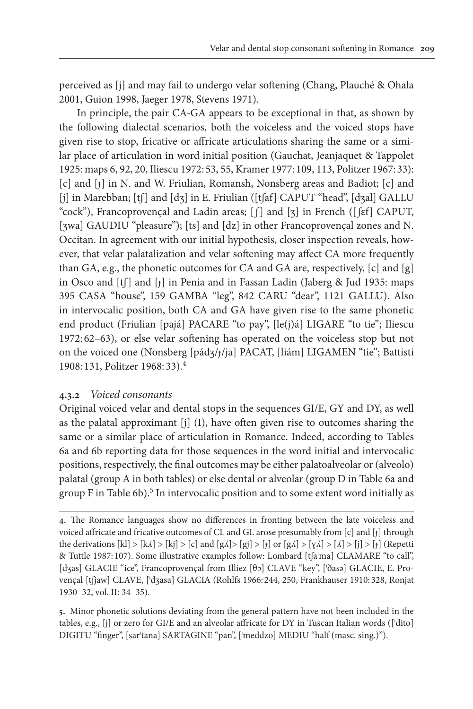perceived as [j] and may fail to undergo velar softening (Chang, Plauché & Ohala 2001, Guion 1998, Jaeger 1978, Stevens 1971).

In principle, the pair CA-GA appears to be exceptional in that, as shown by the following dialectal scenarios, both the voiceless and the voiced stops have given rise to stop, fricative or affricate articulations sharing the same or a similar place of articulation in word initial position (Gauchat, Jeanjaquet & Tappolet 1925: maps 6, 92, 20, Iliescu 1972: 53, 55, Kramer 1977: 109, 113, Politzer 1967: 33): [c] and [ɟ] in N. and W. Friulian, Romansh, Nonsberg areas and Badiot; [c] and [j] in Marebban; [tf] and [dʒ] in E. Friulian ([tfaf] CAPUT "head", [dʒal] GALLU "cock"), Francoprovençal and Ladin areas; [ʃ ] and [ȝ] in French ([ʃɛf] CAPUT, [ʒwa] GAUDIU "pleasure"); [ts] and [dz] in other Francoprovençal zones and N. Occitan. In agreement with our initial hypothesis, closer inspection reveals, however, that velar palatalization and velar softening may affect CA more frequently than GA, e.g., the phonetic outcomes for CA and GA are, respectively, [c] and [g] in Osco and [tʃ ] and [ɟ] in Penia and in Fassan Ladin (Jaberg & Jud 1935: maps 395 CASA "house", 159 GAMBA "leg", 842 CARU "dear", 1121 GALLU). Also in intervocalic position, both CA and GA have given rise to the same phonetic end product (Friulian [pajá] PACARE "to pay", [le(j)á] LIGARE "to tie"; Iliescu 1972: 62–63), or else velar softening has operated on the voiceless stop but not on the voiced one (Nonsberg [pádȝ/ɟ/ja] PACAT, [liám] LIGAMEN "tie"; Battisti 1908: 131, Politzer 1968: 33).4

## **4.3.2** *Voiced consonants*

Original voiced velar and dental stops in the sequences GI/E, GY and DY, as well as the palatal approximant [j] (I), have often given rise to outcomes sharing the same or a similar place of articulation in Romance. Indeed, according to Tables 6a and 6b reporting data for those sequences in the word initial and intervocalic positions, respectively, the final outcomes may be either palatoalveolar or (alveolo) palatal (group A in both tables) or else dental or alveolar (group D in Table 6a and group F in Table 6b).<sup>5</sup> In intervocalic position and to some extent word initially as

**4.** The Romance languages show no differences in fronting between the late voiceless and voiced affricate and fricative outcomes of CL and GL arose presumably from [c] and [ɟ] through the derivations  $[k] > [k\Lambda] > [k\tilde{j}] > [c]$  and  $[g\Lambda] > [g\tilde{j}] > [f]$  or  $[g\Lambda] > [g\Lambda] > [g\tilde{j}] > [f]$  (Repetti & Tuttle 1987: 107). Some illustrative examples follow: Lombard [tʃaˈma] CLAMARE "to call", [dʒas] GLACIE "ice", Francoprovençal from Illiez [θɔ] CLAVE "key", ['ðasə] GLACIE, E. Provençal [tʃjaw] CLAVE, [ˈdȝasa] GLACIA (Rohlfs 1966: 244, 250, Frankhauser 1910: 328, Ronjat 1930–32, vol. II: 34–35).

**5.** Minor phonetic solutions deviating from the general pattern have not been included in the tables, e.g., [j] or zero for GI/E and an alveolar affricate for DY in Tuscan Italian words ([ˈdito] DIGITU "finger", [sarˈtana] SARTAGINE "pan", [ˈmeddzo] MEDIU "half (masc. sing.)").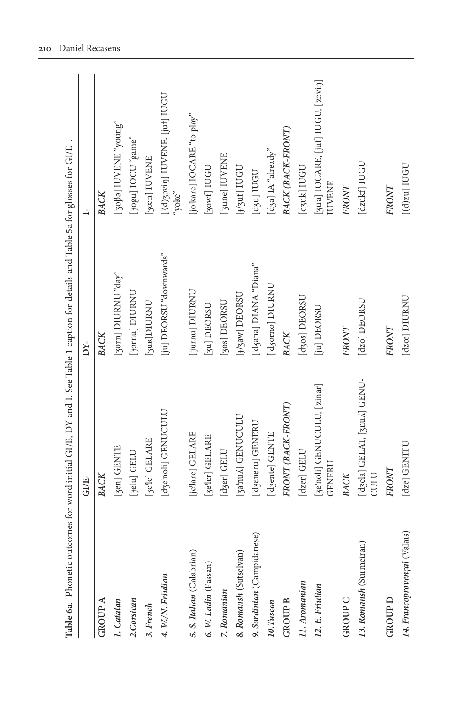|                              | Table 6a. Phonetic outcomes for word initial GI/E, DY and I. See Table 1 caption for details and Table 5a for glosses for GI/E-. |                                  |                                                      |
|------------------------------|----------------------------------------------------------------------------------------------------------------------------------|----------------------------------|------------------------------------------------------|
|                              | GI/E-                                                                                                                            | DY-                              | $\overline{\phantom{0}}$                             |
| <b>GROUP A</b>               | <b>BACK</b>                                                                                                                      | <b>BACK</b>                      | <b>BACK</b>                                          |
| 1. Catalan                   | [3en] GENTE                                                                                                                      | [30m] DIURNU "day"               | "sunov" HNHVUI [edoc <sub>1</sub> ]                  |
| 2.Corsican                   | ['jelu] GELU                                                                                                                     | DIURNU                           | "same" UDOL [ugot]                                   |
| 3. French                    | [3e'le] GELARE                                                                                                                   | [3uR]DIURNU                      | $[3 \infty]$ IUVENE                                  |
| 4. W./N. Friulian            | [d3e'noli] GENUCULU                                                                                                              | [ju] DEORSU "downwards"          | ['(d)30vin] IUVENE, [juf] IUGU<br>'yoke"             |
| 5. S. Italian (Calabrian)    | [je'lare] GELARE                                                                                                                 | ['jurnu] DIURNU                  | [jo'kare] IOCARE "to play"                           |
| 6. W. Ladin (Fassan)         | [3e'ler] GELARE                                                                                                                  | [3u] DEORSU                      | [30wf] IUGU                                          |
| 7. Romanian                  | [dzer] GELU                                                                                                                      | [308] DEORSU                     | ['3une] IUVENE                                       |
| 8. Romansh (Sutselvan)       | [3a'nu\] GENUCULU                                                                                                                | $\left[\frac{1}{3}$ /3aw] DEORSU | DOCI Inst <sup>[1</sup> ]                            |
| 9. Sardinian (Campidanese)   | [dzsneru] GENERU                                                                                                                 | ['dʒana] DIANA "Diana"           | [dʒu] IUGU                                           |
| 10.Tuscan                    | ['d3ente] GENTE                                                                                                                  | URXUIC [omogb]                   | $\lbrack \text{d} \text{3a} \rbrack$ IA "already"    |
| <b>GROUP B</b>               | FRONT (BACK-FRONT)                                                                                                               | <b>BACK</b>                      | BACK (BACK-FRONT)                                    |
| 11. Aromanian                | [dzer] GELU                                                                                                                      | [d30s] DEORSU                    | [dʒuk] IUGU                                          |
| 12. E. Friulian              | [3e'noli] GENUCULU, ['zinar]<br><b>GENERU</b>                                                                                    | [ju] DEORSU                      | [3u'a] IOCARE, [juf] IUGU, ['zɔviŋ]<br><b>IUVENE</b> |
| <b>GROUP C</b>               | <b>BACK</b>                                                                                                                      | FRONT                            | FRONT                                                |
| 13. Romansh (Surmeiran)      | ['d3ela] GELAT, [3nu. ] GENU-<br><b>CULU</b>                                                                                     | [dzo] DEORSU                     | [dzukf] IUGU                                         |
| <b>GROUP D</b>               | FRONT                                                                                                                            | FRONT                            | FRONT                                                |
| 14. Francoprovençal (Valais) | [dzē] GENITU                                                                                                                     | [dzœ] DIURNU                     | [(d)zu] IUGU                                         |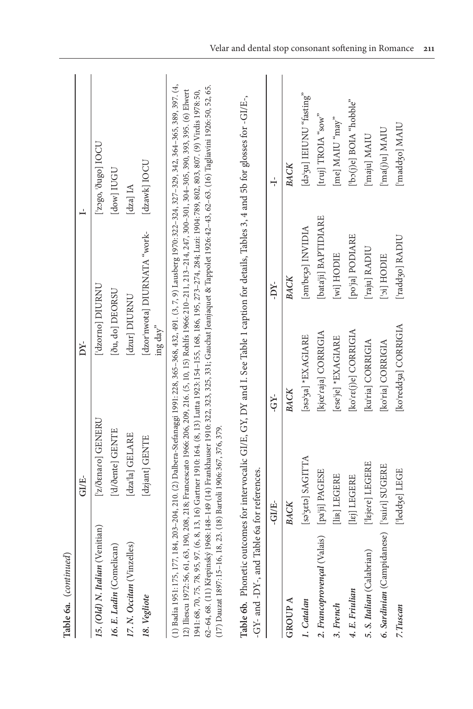| Table 6a. (continued)                                              |                    |                      |                              |                                                                                                                                                                                                                                                                                                                                                                                                                                                                                                                                                                                                                                                                                               |
|--------------------------------------------------------------------|--------------------|----------------------|------------------------------|-----------------------------------------------------------------------------------------------------------------------------------------------------------------------------------------------------------------------------------------------------------------------------------------------------------------------------------------------------------------------------------------------------------------------------------------------------------------------------------------------------------------------------------------------------------------------------------------------------------------------------------------------------------------------------------------------|
|                                                                    | <b>GI/E-</b>       | DY-                  |                              |                                                                                                                                                                                                                                                                                                                                                                                                                                                                                                                                                                                                                                                                                               |
| 15. (Old) N. Italian (Venitian)                                    | ['z/ðɛnaɾo] GENERU | ['dzorno] DIURNU     |                              | ['zɔgo, 'ðugo] IOCU                                                                                                                                                                                                                                                                                                                                                                                                                                                                                                                                                                                                                                                                           |
| 16. E. Ladin (Comelican)                                           | ['d/ðente] GENTE   | [ðu, do] DEORSU      |                              | [dow] IUGU                                                                                                                                                                                                                                                                                                                                                                                                                                                                                                                                                                                                                                                                                    |
| 17. N. Occitan (Vinzelles)                                         | [dza'la] GELARE    | [dzur] DIURNU        |                              | $\left[{\rm d}{\rm za}\right]$ IA                                                                                                                                                                                                                                                                                                                                                                                                                                                                                                                                                                                                                                                             |
| 18. Vegliote                                                       | [dzjant] GENTE     | ing day"             | [dzor'nwota] DIURNATA "work- | [dzawk] IOCU                                                                                                                                                                                                                                                                                                                                                                                                                                                                                                                                                                                                                                                                                  |
|                                                                    |                    |                      |                              |                                                                                                                                                                                                                                                                                                                                                                                                                                                                                                                                                                                                                                                                                               |
| (17) Dauzat 1897: 15-16, 18, 23. (18) Bartoli 1906: 367, 376, 379. |                    |                      |                              | (1) Badia 1951:175, 177, 184, 203–204, 210. (2) Dalbera-Stefanaggi 1991: 228, 365–368, 432, 491. (3, 7, 9) Lausberg 1970:322–324, 327–329, 342, 364–365, 389, 397. (4,<br>62–64, 68. (11) Křepinský 1968: 148–149 (14) Frankhauser 1910:322, 323, 325; Gauchat Jeanjaquet & Tappolet 1926:42–43, 62–63. (16) Tagliavini 1926:50, 52, 65.<br>12) Iliescu 1972: 56, 61, 63, 190, 208, 218; Francescato 1966: 206, 209, 216, (5, 10, 15) Rohlfs 1966: 210-211, 213-214, 247, 300-301, 304-305, 390, 395, (6) Elwett<br>1941: 68, 70, 75, 78, 97, (6, 8, 13, 16) Gattner 1910: 164. (8, 13) Lutta 1923: 154-155, 168, 186, 195, 273-274, 284; Luzi: 1904:789, 802, 803, 807, (9) Virdis 1978: 50, |
| -GY- and -DY-, and Table 6a for references.                        |                    |                      |                              | Table 6b. Phonetic outcomes for intervocalic GI/E, GY, DY and I. See Table 1 caption for details, Tables 3, 4 and 5b for glosses for -GI/E-,                                                                                                                                                                                                                                                                                                                                                                                                                                                                                                                                                  |
|                                                                    | -GI/E-             | -GY-                 | -DY-                         | ÷                                                                                                                                                                                                                                                                                                                                                                                                                                                                                                                                                                                                                                                                                             |
| <b>GROUP A</b>                                                     | <b>BACK</b>        | <b>BACK</b>          | <b>BACK</b>                  | <b>BACK</b>                                                                                                                                                                                                                                                                                                                                                                                                                                                                                                                                                                                                                                                                                   |
| 1. Catalan                                                         | ATTIOAS [ensces]   | [əsə'3a] *EXAGIARE   | AICIVII [653quue]            | [də'zu] IEIUNU "fasting"                                                                                                                                                                                                                                                                                                                                                                                                                                                                                                                                                                                                                                                                      |
| 2. Francoprovençal (Valais)                                        | [pa'ji] PAGESE     | [kjœ'raja] CORRIGIA  | [bata'ji] BAPTIDIARE         | [truj] TROIA "sow"                                                                                                                                                                                                                                                                                                                                                                                                                                                                                                                                                                                                                                                                            |
| 3. French                                                          | [lin] LEGERE       | [ese'je] *EXAGIARE   | [wi] HODIE                   | [me] MAIU "may"                                                                                                                                                                                                                                                                                                                                                                                                                                                                                                                                                                                                                                                                               |
| 4. E. Friulian                                                     | [lej] LEGERE       | [ko're(j)e] CORRIGIA | [po'ja] PODIARE              | ['bɔ(j)e] BOIA "hoble"                                                                                                                                                                                                                                                                                                                                                                                                                                                                                                                                                                                                                                                                        |
| 5. S. Italian (Calabrian)                                          | ['lɛjeɾe] LEGERE   | [ku'ria] CORRIGIA    | ['raju] RADIU                | ['maju] MAIU                                                                                                                                                                                                                                                                                                                                                                                                                                                                                                                                                                                                                                                                                  |
| 6. Sardinian (Campidanese)                                         | ['suici] SUGERE    | [ko'ria] CORRIGIA    | ['bi] HODIE                  | [ <sup>1</sup> ma(j)u] MAIU                                                                                                                                                                                                                                                                                                                                                                                                                                                                                                                                                                                                                                                                   |
| 7.Tuscan                                                           | ['ledd3e] LEGE     | [ko'redd3a] CORRIGIA | [ˈraddʒo] RADIU              | ['madd30] MAIU                                                                                                                                                                                                                                                                                                                                                                                                                                                                                                                                                                                                                                                                                |
|                                                                    |                    |                      |                              |                                                                                                                                                                                                                                                                                                                                                                                                                                                                                                                                                                                                                                                                                               |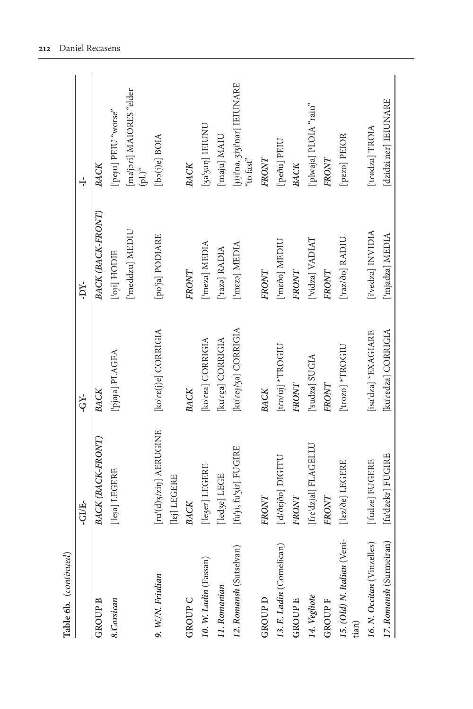| Table 6b. (continued)                |                                                |                              |                   |                                                                  |
|--------------------------------------|------------------------------------------------|------------------------------|-------------------|------------------------------------------------------------------|
|                                      | -GI/E-                                         | -GY-                         | -DY-              | ÷                                                                |
| <b>GROUP B</b>                       | BACK (BACK-FRONT)                              | <b>BACK</b>                  | BACK (BACK-FRONT) | <b>BACK</b>                                                      |
| 8.Corsican                           | ['le <sub>j</sub> a] LEGERE                    | ['pja <sub>j</sub> a] PLAGEA | ['oti] HODIE      | ['pe <sub>l</sub> u] PEIU "worse"                                |
|                                      |                                                |                              | ['meddzu] MEDIU   | [ma'joci] MAIORES "elder<br>$\left( \text{pl.}\right) ^{\circ}$  |
| 9. W.N. Friulian                     | [ru'(d)3/zin] AERUGINE<br>[lej] LEGERE         | [ko're(j)e] CORRIGIA         | [po'ja] PODIARE   | ['bo(j)e] BOIA                                                   |
| <b>GROUP C</b>                       | <b>BACK</b>                                    | <b>BACK</b>                  | FRONT             | <b>BACK</b>                                                      |
| 10. W. Ladin (Fassan)                | ['leger] LEGERE                                | [ko'rea] CORRIGIA            | ['meza] MEDIA     | Larger [ungler]                                                  |
| 11. Romanian                         | ['led3e] LEGE                                  | [ku'rea] CORRIGIA            | ['razə] RADIA     | ['maju] MAIU                                                     |
| 12. Romansh (Sutselvan)              | [fu <sub>ji</sub> , fu <sub>jir</sub> ] FUGIRE | [ku'rey'3a] CORRIGIA         | AIGHM [ezan']     | [jiji'na, 3i3i'nar] IEIUNARE<br>$\rm ^{4}$ to fast<br>$\rm ^{2}$ |
| <b>GROUP D</b>                       | FRONT                                          | <b>BACK</b>                  | FRONT             | FRONT                                                            |
| 13. E. Ladin (Comelican)             | [ˈd/ðɛjðo] DIGITU                              | [tro/uj] *TROGIU             | UIGHN [obam]      | ['peðu] PEIU                                                     |
| <b>GROUPE</b>                        | FRONT                                          | FRONT                        | FRONT             | <b>BACK</b>                                                      |
| 14. Vegliote                         | [fre'dzjal] FLAGELLU                           | ['sudza] SUGIA               | ['vidza] VADIAT   | ['plwaja] PLOIA "rain"                                           |
| <b>GROUPF</b>                        | FRONT                                          | FRONT                        | FRONT             | FRONT                                                            |
| 15. (Old) N. Italian (Veni-<br>tian) | ['lɛz/ðe] LEGERE                               | ['trozo] *TROGIU             | [ˈraz/ðo] RADIU   | ['pɛzo] PEIOR                                                    |
| 16. N. Occitan (Vinzelles)           | ['fudze] FUGERE                                | [isa'dza] *EXAGIARE          | [i'vedza] INVIDIA | ['trødza] TROIA                                                  |
| 17. Romansh (Surmeiran)              | [fu'dzekr] FUGIRE                              | [ku'redza] CORRIGIA          | ['mjadza] MEDIA   | [dzidzi'ner] IEIUNARE                                            |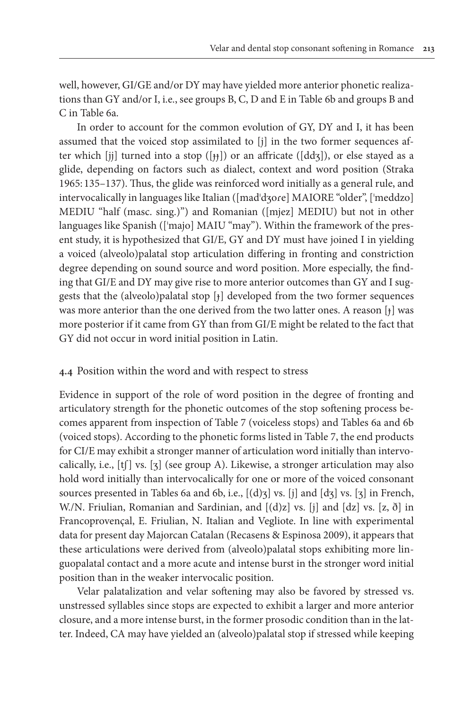well, however, GI/GE and/or DY may have yielded more anterior phonetic realizations than GY and/or I, i.e., see groups B, C, D and E in Table 6b and groups B and C in Table 6a.

In order to account for the common evolution of GY, DY and I, it has been assumed that the voiced stop assimilated to [j] in the two former sequences after which [jj] turned into a stop  $([H])$  or an affricate  $([ddz]),$  or else stayed as a glide, depending on factors such as dialect, context and word position (Straka 1965: 135–137). Thus, the glide was reinforced word initially as a general rule, and intervocalically in languages like Italian ([mad'dʒore] MAIORE "older", ['meddzo] MEDIU "half (masc. sing.)") and Romanian ([mjez] MEDIU) but not in other languages like Spanish ([ˈmajo] MAIU "may"). Within the framework of the present study, it is hypothesized that GI/E, GY and DY must have joined I in yielding a voiced (alveolo)palatal stop articulation differing in fronting and constriction degree depending on sound source and word position. More especially, the finding that GI/E and DY may give rise to more anterior outcomes than GY and I suggests that the (alveolo)palatal stop [ɟ] developed from the two former sequences was more anterior than the one derived from the two latter ones. A reason [f] was more posterior if it came from GY than from GI/E might be related to the fact that GY did not occur in word initial position in Latin.

### **4.4** Position within the word and with respect to stress

Evidence in support of the role of word position in the degree of fronting and articulatory strength for the phonetic outcomes of the stop softening process becomes apparent from inspection of Table 7 (voiceless stops) and Tables 6a and 6b (voiced stops). According to the phonetic forms listed in Table 7, the end products for CI/E may exhibit a stronger manner of articulation word initially than intervocalically, i.e., [tʃ ] vs. [ȝ] (see group A). Likewise, a stronger articulation may also hold word initially than intervocalically for one or more of the voiced consonant sources presented in Tables 6a and 6b, i.e.,  $[(d)z]$  vs.  $[j]$  and  $[dz]$  vs.  $[z]$  in French, W./N. Friulian, Romanian and Sardinian, and [(d)z] vs. [j] and [dz] vs. [z, ð] in Francoprovençal, E. Friulian, N. Italian and Vegliote. In line with experimental data for present day Majorcan Catalan (Recasens & Espinosa 2009), it appears that these articulations were derived from (alveolo)palatal stops exhibiting more linguopalatal contact and a more acute and intense burst in the stronger word initial position than in the weaker intervocalic position.

Velar palatalization and velar softening may also be favored by stressed vs. unstressed syllables since stops are expected to exhibit a larger and more anterior closure, and a more intense burst, in the former prosodic condition than in the latter. Indeed, CA may have yielded an (alveolo)palatal stop if stressed while keeping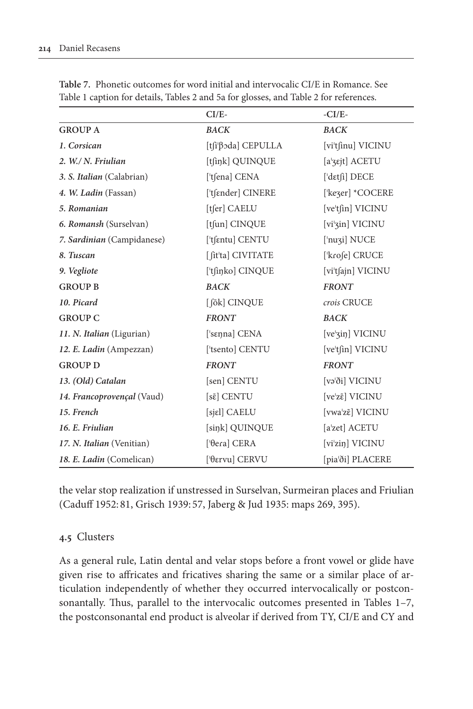|                            | $CI/E-$                        | $-CI/E-$          |
|----------------------------|--------------------------------|-------------------|
| <b>GROUP A</b>             | <b>BACK</b>                    | <b>BACK</b>       |
| 1. Corsican                | [tʃiˈβɔda] CEPULLA             | [vi'tfinu] VICINU |
| 2. W./ N. Friulian         | [tʃiŋk] QUINQUE                | [a'3εjt] ACETU    |
| 3. S. Italian (Calabrian)  | ['tfena] CENA                  | ['dɛtʃi] DECE     |
| 4. W. Ladin (Fassan)       | ['tʃɛnder] CINERE              | ['ke3er] *COCERE  |
| 5. Romanian                | [tʃer] CAELU                   | [ve'tʃin] VICINU  |
| 6. Romansh (Surselvan)     | [tʃun] CINQUE                  | [vi'zin] VICINU   |
| 7. Sardinian (Campidanese) | ['tfentu] CENTU                | ['nuʒi] NUCE      |
| 8. Tuscan                  | [fit <sup>'ta]</sup> CIVITATE  | ['krofe] CRUCE    |
| 9. Vegliote                | ['tʃiŋko] CINQUE               | [vi'tfajn] VICINU |
| <b>GROUP B</b>             | <b>BACK</b>                    | <b>FRONT</b>      |
| 10. Picard                 | [fôk] CINQUE                   | crois CRUCE       |
| <b>GROUP C</b>             | <b>FRONT</b>                   | <b>BACK</b>       |
| 11. N. Italian (Ligurian)  | ['sɛŋna] CENA                  | [ve'3in] VICINU   |
| 12. E. Ladin (Ampezzan)    | ['tsento] CENTU                | [ve'tʃin] VICINU  |
| <b>GROUP D</b>             | <b>FRONT</b>                   | <b>FRONT</b>      |
| 13. (Old) Catalan          | [sen] CENTU                    | [və'ði] VICINU    |
| 14. Francoprovençal (Vaud) | $[s\tilde{\varepsilon}]$ CENTU | [ve'zɛ̃] VICINU   |
| 15. French                 | [sjɛl] CAELU                   | [vwa'zɛ̃] VICINU  |
| 16. E. Friulian            | [siŋk] QUINQUE                 | [a'zet] ACETU     |
| 17. N. Italian (Venitian)  | [ $\theta$ era] CERA           | [vi'zin] VICINU   |
| 18. E. Ladin (Comelican)   | ['θεrvu] CERVU                 | [pia'ði] PLACERE  |

**Table 7.** Phonetic outcomes for word initial and intervocalic CI/E in Romance. See Table 1 caption for details, Tables 2 and 5a for glosses, and Table 2 for references.

the velar stop realization if unstressed in Surselvan, Surmeiran places and Friulian (Caduff 1952: 81, Grisch 1939: 57, Jaberg & Jud 1935: maps 269, 395).

# **4.5** Clusters

As a general rule, Latin dental and velar stops before a front vowel or glide have given rise to affricates and fricatives sharing the same or a similar place of articulation independently of whether they occurred intervocalically or postconsonantally. Thus, parallel to the intervocalic outcomes presented in Tables 1–7, the postconsonantal end product is alveolar if derived from TY, CI/E and CY and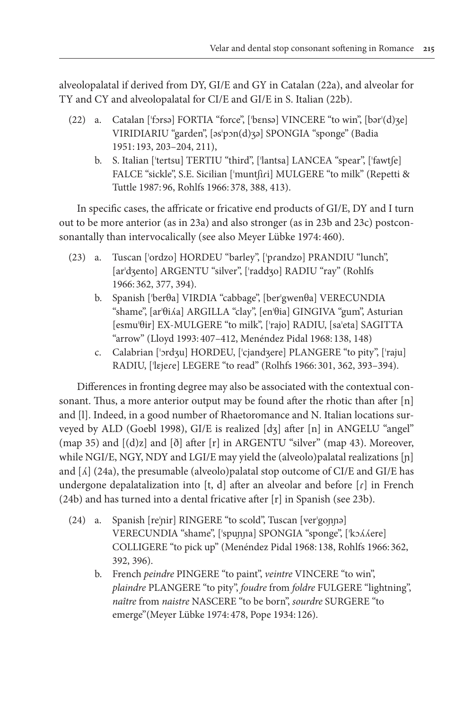alveolopalatal if derived from DY, GI/E and GY in Catalan (22a), and alveolar for TY and CY and alveolopalatal for CI/E and GI/E in S. Italian (22b).

- (22) a. Catalan [ˈfɔrsǝ] FORTIA "force", [ˈbɛnsǝ] VINCERE "to win", [bǝrˈ(d)ȝe] VIRIDIARIU "garden", [ǝsˈpɔn(d)ȝǝ] SPONGIA "sponge" (Badia 1951: 193, 203–204, 211),
	- b. S. Italian [ˈtertsu] TERTIU "third", [ˈlantsa] LANCEA "spear", [ˈfawtʃe] FALCE "sickle", S.E. Sicilian [ˈmuntʃiɾi] MULGERE "to milk" (Repetti & Tuttle 1987: 96, Rohlfs 1966: 378, 388, 413).

In specific cases, the affricate or fricative end products of GI/E, DY and I turn out to be more anterior (as in 23a) and also stronger (as in 23b and 23c) postconsonantally than intervocalically (see also Meyer Lübke 1974: 460).

- (23) a. Tuscan [ˈordzo] HORDEU "barley", [ˈpɾandzo] PRANDIU "lunch", [ar'dʒento] ARGENTU "silver", ['raddʒo] RADIU "ray" (Rohlfs 1966: 362, 377, 394).
	- b. Spanish [ˈberθa] VIRDIA "cabbage", [berˈgwenθa] VERECUNDIA "shame", [arˈθiʎa] ARGILLA "clay", [enˈθia] GINGIVA "gum", Asturian [esmuˈθir] EX-MULGERE "to milk", [ˈrajo] RADIU, [saˈeta] SAGITTA "arrow" (Lloyd 1993: 407–412, Menéndez Pidal 1968: 138, 148)
	- c. Calabrian ['ɔrdʒu] HORDEU, ['cjandʒere] PLANGERE "to pity", ['raju] RADIU, [ˈlɛjeɾe] LEGERE "to read" (Rolhfs 1966: 301, 362, 393–394).

Differences in fronting degree may also be associated with the contextual consonant. Thus, a more anterior output may be found after the rhotic than after [n] and [l]. Indeed, in a good number of Rhaetoromance and N. Italian locations surveyed by ALD (Goebl 1998), GI/E is realized [dȝ] after [n] in ANGELU "angel" (map 35) and [(d)z] and [ð] after [r] in ARGENTU "silver" (map 43). Moreover, while NGI/E, NGY, NDY and LGI/E may yield the (alveolo)palatal realizations [ɲ] and  $\left[\begin{smallmatrix} \Delta \end{smallmatrix}\right]$  (24a), the presumable (alveolo)palatal stop outcome of CI/E and GI/E has undergone depalatalization into [t, d] after an alveolar and before [ɾ] in French (24b) and has turned into a dental fricative after [r] in Spanish (see 23b).

- (24) a. Spanish [reˈɲir] RINGERE "to scold", Tuscan [verˈgoɲɲǝ] VERECUNDIA "shame", [ˈspuɲɲa] SPONGIA "sponge", [ˈkɔʎʎere] COLLIGERE "to pick up" (Menéndez Pidal 1968: 138, Rohlfs 1966: 362, 392, 396).
	- b. French *peindre* PINGERE "to paint", *veintre* VINCERE "to win", *plaindre* PLANGERE "to pity", *foudre* from *foldre* FULGERE "lightning", *naître* from *naistre* NASCERE "to be born", *sourdre* SURGERE "to emerge"(Meyer Lübke 1974: 478, Pope 1934: 126).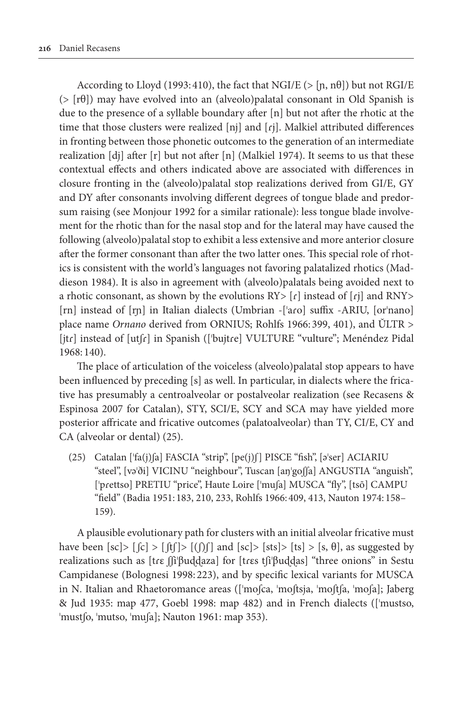According to Lloyd (1993: 410), the fact that NGI/E ( $>$  [n, n $\theta$ ]) but not RGI/E  $($  [r $\theta$ ]) may have evolved into an (alveolo)palatal consonant in Old Spanish is due to the presence of a syllable boundary after [n] but not after the rhotic at the time that those clusters were realized [nj] and [ɾj]. Malkiel attributed differences in fronting between those phonetic outcomes to the generation of an intermediate realization [dj] after [r] but not after [n] (Malkiel 1974). It seems to us that these contextual effects and others indicated above are associated with differences in closure fronting in the (alveolo)palatal stop realizations derived from GI/E, GY and DY after consonants involving different degrees of tongue blade and predorsum raising (see Monjour 1992 for a similar rationale): less tongue blade involvement for the rhotic than for the nasal stop and for the lateral may have caused the following (alveolo)palatal stop to exhibit a less extensive and more anterior closure after the former consonant than after the two latter ones. This special role of rhotics is consistent with the world's languages not favoring palatalized rhotics (Maddieson 1984). It is also in agreement with (alveolo)palatals being avoided next to a rhotic consonant, as shown by the evolutions  $RY > [r]$  instead of [*r*j] and  $RNY >$ [rn] instead of [rɲ] in Italian dialects (Umbrian -[ˈaɾo] suffix -ARIU, [orˈnano] place name *Ornano* derived from ORNIUS; Rohlfs 1966:399, 401), and ULTR > [jtr] instead of [utfr] in Spanish (['bujtre] VULTURE "vulture"; Menéndez Pidal 1968: 140).

The place of articulation of the voiceless (alveolo)palatal stop appears to have been influenced by preceding [s] as well. In particular, in dialects where the fricative has presumably a centroalveolar or postalveolar realization (see Recasens & Espinosa 2007 for Catalan), STY, SCI/E, SCY and SCA may have yielded more posterior affricate and fricative outcomes (palatoalveolar) than TY, CI/E, CY and CA (alveolar or dental) (25).

(25) Catalan [ˈfa(j)ʃa] FASCIA "strip", [pe(j)ʃ ] PISCE "fish", [ǝˈser] ACIARIU "steel", [vǝˈði] VICINU "neighbour", Tuscan [aŋˈgoʃʃa] ANGUSTIA "anguish", [ˈpɾettso] PRETIU "price", Haute Loire [ˈmuʃa] MUSCA "fly", [tsõ] CAMPU "field" (Badia 1951: 183, 210, 233, Rohlfs 1966: 409, 413, Nauton 1974: 158– 159).

A plausible evolutionary path for clusters with an initial alveolar fricative must have been  $[sc] > [f] > [f]$ ]  $[g]$  and  $[sc] > [sts] > [ts]$  >  $[s, \theta]$ , as suggested by realizations such as [tɾɛ ʃʃiˈβuɖɖaza] for [tɾɛs tʃiˈβuɖɖas] "three onions" in Sestu Campidanese (Bolognesi 1998: 223), and by specific lexical variants for MUSCA in N. Italian and Rhaetoromance areas ([ˈmoʃca, ˈmoʃtsja, ˈmoʃtʃa, ˈmoʃa]; Jaberg & Jud 1935: map 477, Goebl 1998: map 482) and in French dialects ([ˈmustso, ˈmustʃo, ˈmutso, ˈmuʃa]; Nauton 1961: map 353).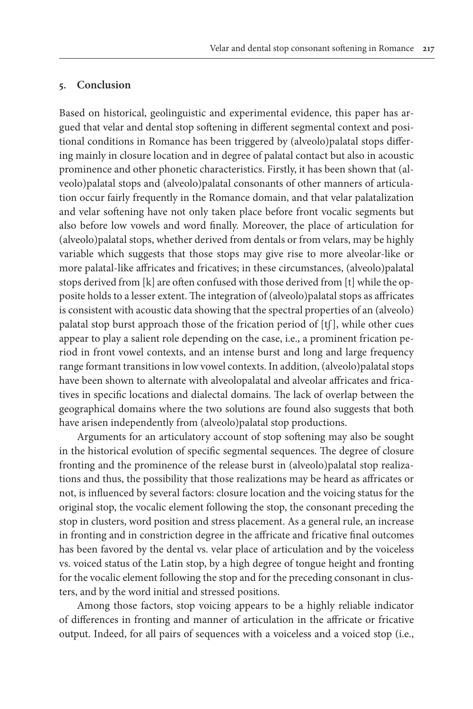## **5. Conclusion**

Based on historical, geolinguistic and experimental evidence, this paper has argued that velar and dental stop softening in different segmental context and positional conditions in Romance has been triggered by (alveolo)palatal stops differing mainly in closure location and in degree of palatal contact but also in acoustic prominence and other phonetic characteristics. Firstly, it has been shown that (alveolo)palatal stops and (alveolo)palatal consonants of other manners of articulation occur fairly frequently in the Romance domain, and that velar palatalization and velar softening have not only taken place before front vocalic segments but also before low vowels and word finally. Moreover, the place of articulation for (alveolo)palatal stops, whether derived from dentals or from velars, may be highly variable which suggests that those stops may give rise to more alveolar-like or more palatal-like affricates and fricatives; in these circumstances, (alveolo)palatal stops derived from [k] are often confused with those derived from [t] while the opposite holds to a lesser extent. The integration of (alveolo)palatal stops as affricates is consistent with acoustic data showing that the spectral properties of an (alveolo) palatal stop burst approach those of the frication period of [tʃ ], while other cues appear to play a salient role depending on the case, i.e., a prominent frication period in front vowel contexts, and an intense burst and long and large frequency range formant transitions in low vowel contexts. In addition, (alveolo)palatal stops have been shown to alternate with alveolopalatal and alveolar affricates and fricatives in specific locations and dialectal domains. The lack of overlap between the geographical domains where the two solutions are found also suggests that both have arisen independently from (alveolo)palatal stop productions.

Arguments for an articulatory account of stop softening may also be sought in the historical evolution of specific segmental sequences. The degree of closure fronting and the prominence of the release burst in (alveolo)palatal stop realizations and thus, the possibility that those realizations may be heard as affricates or not, is influenced by several factors: closure location and the voicing status for the original stop, the vocalic element following the stop, the consonant preceding the stop in clusters, word position and stress placement. As a general rule, an increase in fronting and in constriction degree in the affricate and fricative final outcomes has been favored by the dental vs. velar place of articulation and by the voiceless vs. voiced status of the Latin stop, by a high degree of tongue height and fronting for the vocalic element following the stop and for the preceding consonant in clusters, and by the word initial and stressed positions.

Among those factors, stop voicing appears to be a highly reliable indicator of differences in fronting and manner of articulation in the affricate or fricative output. Indeed, for all pairs of sequences with a voiceless and a voiced stop (i.e.,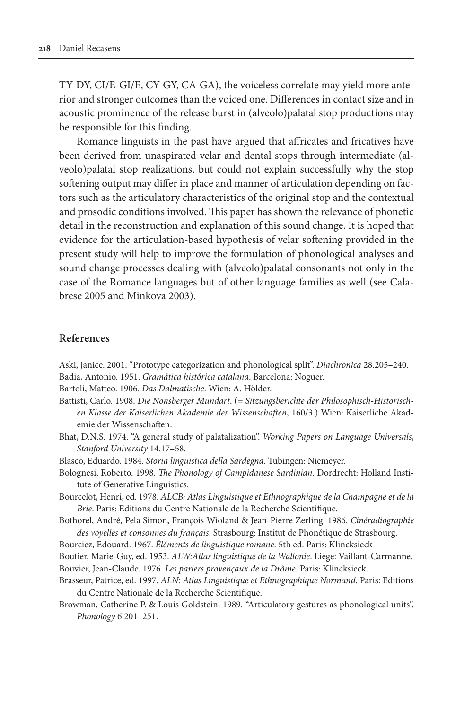TY-DY, CI/E-GI/E, CY-GY, CA-GA), the voiceless correlate may yield more anterior and stronger outcomes than the voiced one. Differences in contact size and in acoustic prominence of the release burst in (alveolo)palatal stop productions may be responsible for this finding.

Romance linguists in the past have argued that affricates and fricatives have been derived from unaspirated velar and dental stops through intermediate (alveolo)palatal stop realizations, but could not explain successfully why the stop softening output may differ in place and manner of articulation depending on factors such as the articulatory characteristics of the original stop and the contextual and prosodic conditions involved. This paper has shown the relevance of phonetic detail in the reconstruction and explanation of this sound change. It is hoped that evidence for the articulation-based hypothesis of velar softening provided in the present study will help to improve the formulation of phonological analyses and sound change processes dealing with (alveolo)palatal consonants not only in the case of the Romance languages but of other language families as well (see Calabrese 2005 and Minkova 2003).

### **References**

Aski, Janice. 2001. "Prototype categorization and phonological split". *Diachronica* 28.205–240. Badia, Antonio. 1951. *Gramática histórica catalana*. Barcelona: Noguer.

Bartoli, Matteo. 1906. *Das Dalmatische*. Wien: A. Hölder.

- Battisti, Carlo. 1908. *Die Nonsberger Mundart*. (= *Sitzungsberichte der Philosophisch-Historischen Klasse der Kaiserlichen Akademie der Wissenschaften*, 160/3.) Wien: Kaiserliche Akademie der Wissenschaften.
- Bhat, D.N.S. 1974. "A general study of palatalization". *Working Papers on Language Universals*, *Stanford University* 14.17–58.
- Blasco, Eduardo. 1984. *Storia linguistica della Sardegna*. Tübingen: Niemeyer.
- Bolognesi, Roberto. 1998. *The Phonology of Campidanese Sardinian*. Dordrecht: Holland Institute of Generative Linguistics.
- Bourcelot, Henri, ed. 1978. *ALCB: Atlas Linguistique et Ethnographique de la Champagne et de la Brie*. Paris: Editions du Centre Nationale de la Recherche Scientifique.
- Bothorel, André, Pela Simon, François Wioland & Jean-Pierre Zerling. 1986. *Cinéradiographie des voyelles et consonnes du français*. Strasbourg: Institut de Phonétique de Strasbourg.
- Bourciez, Edouard. 1967. *Éléments de linguistique romane*. 5th ed. Paris: Klincksieck
- Boutier, Marie-Guy, ed. 1953. *ALW:Atlas linguistique de la Wallonie*. Liège: Vaillant-Carmanne. Bouvier, Jean-Claude. 1976. *Les parlers provençaux de la Drôme*. Paris: Klincksieck.
- Brasseur, Patrice, ed. 1997. *ALN: Atlas Linguistique et Ethnographique Normand*. Paris: Editions du Centre Nationale de la Recherche Scientifique.
- Browman, Catherine P. & Louis Goldstein. 1989. "Articulatory gestures as phonological units". *Phonology* 6.201–251.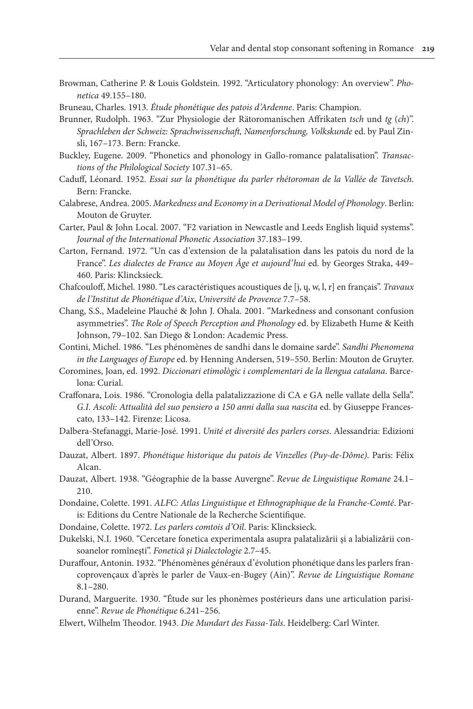Browman, Catherine P. & Louis Goldstein. 1992. "Articulatory phonology: An overview". *Phonetica* 49.155–180.

Bruneau, Charles. 1913*. Étude phonétique des patois d'Ardenne*. Paris: Champion.

- Brunner, Rudolph. 1963. "Zur Physiologie der Rätoromanischen Affrikaten *tsch* und *tg* (*ch*)". *Sprachleben der Schweiz: Sprachwissenschaft, Namenforschung, Volkskunde* ed. by Paul Zinsli, 167–173. Bern: Francke.
- Buckley, Eugene. 2009. "Phonetics and phonology in Gallo-romance palatalisation". *Transactions of the Philological Society* 107.31–65.
- Caduff, Léonard. 1952. *Essai sur la phonétique du parler rhétoroman de la Vallée de Tavetsch*. Bern: Francke.
- Calabrese, Andrea. 2005. *Markedness and Economy in a Derivational Model of Phonology*. Berlin: Mouton de Gruyter.
- Carter, Paul & John Local. 2007. "F2 variation in Newcastle and Leeds English liquid systems". *Journal of the International Phonetic Association* 37.183–199.
- Carton, Fernand. 1972. "Un cas d'extension de la palatalisation dans les patois du nord de la France". *Les dialectes de France au Moyen Âge et aujourd'hui* ed. by Georges Straka, 449– 460. Paris: Klincksieck.
- Chafcouloff, Michel. 1980. "Les caractéristiques acoustiques de [j, ɥ, w, l, r] en français". *Travaux de l'Institut de Phonétique d'Aix*, *Université de Provence* 7.7–58.
- Chang, S.S., Madeleine Plauché & John J. Ohala. 2001. "Markedness and consonant confusion asymmetries". *The Role of Speech Perception and Phonology* ed. by Elizabeth Hume & Keith Johnson, 79–102. San Diego & London: Academic Press.
- Contini, Michel. 1986. "Les phénomènes de sandhi dans le domaine sarde". *Sandhi Phenomena in the Languages of Europe* ed. by Henning Andersen, 519–550. Berlin: Mouton de Gruyter.
- Coromines, Joan, ed. 1992. *Diccionari etimològic i complementari de la llengua catalana*. Barcelona: Curial.
- Craffonara, Lois. 1986. "Cronologia della palatalizzazione di CA e GA nelle vallate della Sella". *G.I. Ascoli: Attualità del suo pensiero a 150 anni dalla sua nascita* ed. by Giuseppe Francescato, 133–142. Firenze: Licosa.
- Dalbera-Stefanaggi, Marie-José. 1991. *Unité et diversité des parlers corses*. Alessandria: Edizioni dell'Orso.
- Dauzat, Albert. 1897. *Phonétique historique du patois de Vinzelles (Puy-de-Dôme).* Paris: Félix Alcan.
- Dauzat, Albert. 1938. "Géographie de la basse Auvergne". *Revue de Linguistique Romane* 24.1– 210.
- Dondaine, Colette. 1991. *ALFC: Atlas Linguistique et Ethnographique de la Franche-Comté*. Paris: Editions du Centre Nationale de la Recherche Scientifique.
- Dondaine, Colette. 1972. *Les parlers comtois d'Oïl*. Paris: Klincksieck.
- Dukelski, N.I. 1960. "Cercetare fonetica experimentala asupra palatalizării şi a labializării consoanelor romîneşti". *Fonetică şi Dialectologie* 2.7–45.
- Duraffour, Antonin. 1932. "Phénomènes généraux d'évolution phonétique dans les parlers francoprovençaux d'après le parler de Vaux-en-Bugey (Ain)". *Revue de Linguistique Romane* 8.1–280.
- Durand, Marguerite. 1930. "Étude sur les phonèmes postérieurs dans une articulation parisienne". *Revue de Phonétique* 6.241–256.
- Elwert, Wilhelm Theodor. 1943. *Die Mundart des Fassa-Tals*. Heidelberg: Carl Winter.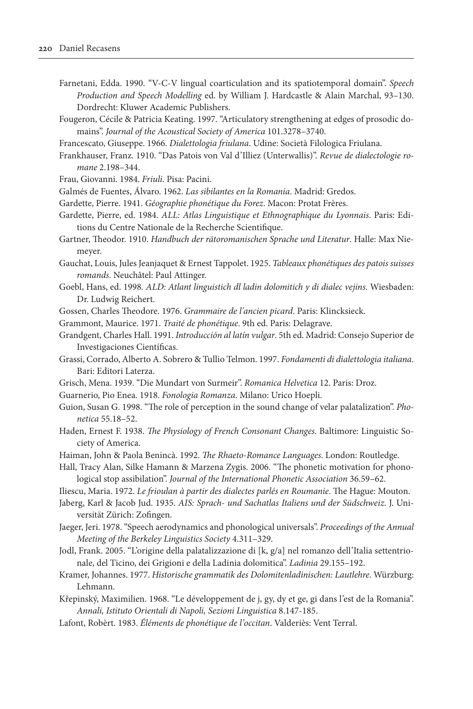- Farnetani, Edda. 1990. "V-C-V lingual coarticulation and its spatiotemporal domain". *Speech Production and Speech Modelling* ed. by William J. Hardcastle & Alain Marchal, 93–130. Dordrecht: Kluwer Academic Publishers.
- Fougeron, Cécile & Patricia Keating. 1997. "Articulatory strengthening at edges of prosodic domains". *Journal of the Acoustical Society of America* 101.3278–3740.
- Francescato, Giuseppe. 1966. *Dialettologia friulana*. Udine: Società Filologica Friulana.
- Frankhauser, Franz. 1910. "Das Patois von Val d'Illiez (Unterwallis)". *Revue de dialectologie romane* 2.198–344.
- Frau, Giovanni. 1984. *Friuli*. Pisa: Pacini.
- Galmés de Fuentes, Álvaro. 1962. *Las sibilantes en la Romania*. Madrid: Gredos.
- Gardette, Pierre. 1941. *Géographie phonétique du Forez*. Macon: Protat Frères.
- Gardette, Pierre, ed. 1984. *ALL: Atlas Linguistique et Ethnographique du Lyonnais*. Paris: Editions du Centre Nationale de la Recherche Scientifique.
- Gartner, Theodor. 1910. *Handbuch der rätoromanischen Sprache und Literatur*. Halle: Max Niemeyer.
- Gauchat, Louis, Jules Jeanjaquet & Ernest Tappolet. 1925. *Tableaux phonétiques des patois suisses romands*. Neuchâtel: Paul Attinger.
- Goebl, Hans, ed. 1998*. ALD: Atlant linguistich dl ladin dolomitich y di dialec vejins*. Wiesbaden: Dr. Ludwig Reichert.
- Gossen, Charles Theodore. 1976. *Grammaire de l'ancien picard*. Paris: Klincksieck.
- Grammont, Maurice. 1971. *Traité de phonétique*. 9th ed. Paris: Delagrave.
- Grandgent, Charles Hall. 1991. *Introducción al latín vulgar*. 5th ed. Madrid: Consejo Superior de Investigaciones Científicas.
- Grassi, Corrado, Alberto A. Sobrero & Tullio Telmon. 1997. *Fondamenti di dialettologia italiana*. Bari: Editori Laterza.
- Grisch, Mena. 1939. "Die Mundart von Surmeir". *Romanica Helvetica* 12. Paris: Droz.
- Guarnerio, Pio Enea. 1918. *Fonologia Romanza*. Milano: Urico Hoepli.
- Guion, Susan G. 1998. "The role of perception in the sound change of velar palatalization". *Phonetica* 55.18–52.
- Haden, Ernest F. 1938. *The Physiology of French Consonant Changes*. Baltimore: Linguistic Society of America.
- Haiman, John & Paola Benincà. 1992. *The Rhaeto-Romance Languages*. London: Routledge.
- Hall, Tracy Alan, Silke Hamann & Marzena Zygis. 2006. "The phonetic motivation for phonological stop assibilation". *Journal of the International Phonetic Association* 36.59–62.
- Iliescu, Maria. 1972. *Le frioulan à partir des dialectes parlés en Roumanie*. The Hague: Mouton.
- Jaberg, Karl & Jacob Jud. 1935. *AIS: Sprach- und Sachatlas Italiens und der Südschweiz*. J. Universität Zürich: Zofingen.
- Jaeger, Jeri. 1978. "Speech aerodynamics and phonological universals". *Proceedings of the Annual Meeting of the Berkeley Linguistics Society* 4.311–329.
- Jodl, Frank. 2005. "L'origine della palatalizzazione di [k, g/a] nel romanzo dell'Italia settentrionale, del Ticino, dei Grigioni e della Ladinia dolomitica". *Ladinia* 29.155–192.
- Kramer, Johannes. 1977. *Historische grammatik des Dolomitenladinischen: Lautlehre*. Würzburg: Lehmann.
- Křepinský, Maximilien. 1968. "Le développement de j, gy, dy et ge, gi dans l'est de la Romania". *Annali, Istituto Orientali di Napoli, Sezioni Linguistica* 8.147-185.
- Lafont, Robèrt. 1983. *Éléments de phonétique de l'occitan*. Valderiès: Vent Terral.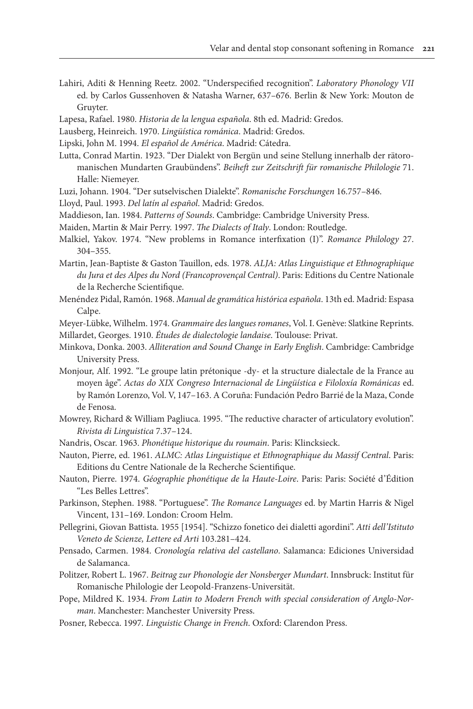Lahiri, Aditi & Henning Reetz. 2002. "Underspecified recognition". *Laboratory Phonology VII* ed. by Carlos Gussenhoven & Natasha Warner, 637–676. Berlin & New York: Mouton de Gruyter.

Lapesa, Rafael. 1980. *Historia de la lengua española*. 8th ed. Madrid: Gredos.

Lausberg, Heinreich. 1970. *Lingüística románica*. Madrid: Gredos.

Lipski, John M. 1994. *El español de América*. Madrid: Cátedra.

- Lutta, Conrad Martin. 1923. "Der Dialekt von Bergün und seine Stellung innerhalb der rätoromanischen Mundarten Graubündens". *Beiheft zur Zeitschrift für romanische Philologie* 71. Halle: Niemeyer.
- Luzi, Johann. 1904. "Der sutselvischen Dialekte". *Romanische Forschungen* 16.757–846.

Lloyd, Paul. 1993. *Del latín al español*. Madrid: Gredos.

- Maddieson, Ian. 1984. *Patterns of Sounds*. Cambridge: Cambridge University Press.
- Maiden, Martin & Mair Perry. 1997. *The Dialects of Italy*. London: Routledge.
- Malkiel, Yakov. 1974. "New problems in Romance interfixation (I)". *Romance Philology* 27. 304–355.
- Martin, Jean-Baptiste & Gaston Tauillon, eds. 1978. *ALJA: Atlas Linguistique et Ethnographique du Jura et des Alpes du Nord (Francoprovençal Central)*. Paris: Editions du Centre Nationale de la Recherche Scientifique.
- Menéndez Pidal, Ramón. 1968. *Manual de gramática histórica española*. 13th ed. Madrid: Espasa Calpe.
- Meyer-Lübke, Wilhelm. 1974. *Grammaire des langues romanes*, Vol. I. Genève: Slatkine Reprints.
- Millardet, Georges. 1910. *Études de dialectologie landaise*. Toulouse: Privat.
- Minkova, Donka. 2003. *Alliteration and Sound Change in Early English*. Cambridge: Cambridge University Press.
- Monjour, Alf. 1992. "Le groupe latin prétonique -dy- et la structure dialectale de la France au moyen âge". *Actas do XIX Congreso Internacional de Lingüística e Filoloxía Románicas* ed. by Ramón Lorenzo, Vol. V, 147–163. A Coruña: Fundación Pedro Barrié de la Maza, Conde de Fenosa.
- Mowrey, Richard & William Pagliuca. 1995. "The reductive character of articulatory evolution". *Rivista di Linguistica* 7.37–124.
- Nandris, Oscar. 1963. *Phonétique historique du roumain*. Paris: Klincksieck.
- Nauton, Pierre, ed. 1961. *ALMC: Atlas Linguistique et Ethnographique du Massif Central*. Paris: Editions du Centre Nationale de la Recherche Scientifique.
- Nauton, Pierre. 1974. *Géographie phonétique de la Haute-Loire*. Paris: Paris: Société d'Édition "Les Belles Lettres".
- Parkinson, Stephen. 1988. "Portuguese". *The Romance Languages* ed. by Martin Harris & Nigel Vincent, 131–169. London: Croom Helm.
- Pellegrini, Giovan Battista. 1955 [1954]. "Schizzo fonetico dei dialetti agordini". *Atti dell'Istituto Veneto de Scienze, Lettere ed Arti* 103.281–424.
- Pensado, Carmen. 1984. *Cronología relativa del castellano*. Salamanca: Ediciones Universidad de Salamanca.
- Politzer, Robert L. 1967. *Beitrag zur Phonologie der Nonsberger Mundart*. Innsbruck: Institut für Romanische Philologie der Leopold-Franzens-Universität.
- Pope, Mildred K. 1934. *From Latin to Modern French with special consideration of Anglo-Norman*. Manchester: Manchester University Press.
- Posner, Rebecca. 1997*. Linguistic Change in French*. Oxford: Clarendon Press.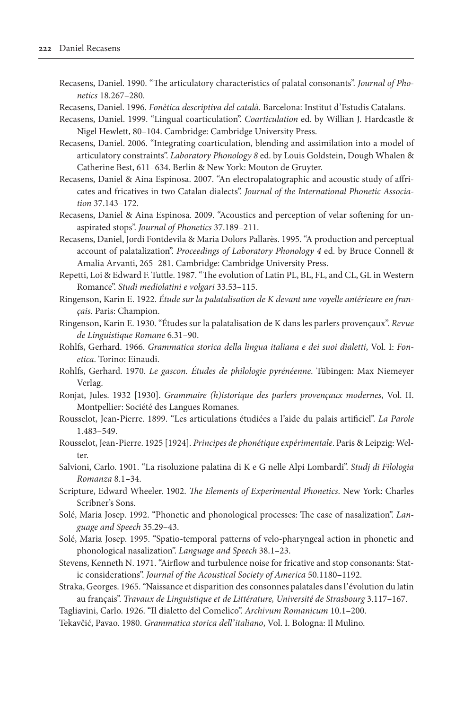- Recasens, Daniel. 1990. "The articulatory characteristics of palatal consonants". *Journal of Phonetics* 18.267–280.
- Recasens, Daniel. 1996. *Fonètica descriptiva del català*. Barcelona: Institut d'Estudis Catalans.
- Recasens, Daniel. 1999. "Lingual coarticulation". *Coarticulation* ed. by Willian J. Hardcastle & Nigel Hewlett, 80–104. Cambridge: Cambridge University Press.
- Recasens, Daniel. 2006. "Integrating coarticulation, blending and assimilation into a model of articulatory constraints". *Laboratory Phonology 8* ed. by Louis Goldstein, Dough Whalen & Catherine Best, 611–634. Berlin & New York: Mouton de Gruyter.
- Recasens, Daniel & Aina Espinosa. 2007. "An electropalatographic and acoustic study of affricates and fricatives in two Catalan dialects". *Journal of the International Phonetic Association* 37.143–172.
- Recasens, Daniel & Aina Espinosa. 2009. "Acoustics and perception of velar softening for unaspirated stops". *Journal of Phonetics* 37.189–211.
- Recasens, Daniel, Jordi Fontdevila & Maria Dolors Pallarès. 1995. "A production and perceptual account of palatalization". *Proceedings of Laboratory Phonology 4* ed. by Bruce Connell & Amalia Arvanti, 265–281. Cambridge: Cambridge University Press.
- Repetti, Loi & Edward F. Tuttle. 1987. "The evolution of Latin PL, BL, FL, and CL, GL in Western Romance". *Studi mediolatini e volgari* 33.53–115.
- Ringenson, Karin E. 1922. *Étude sur la palatalisation de K devant une voyelle antérieure en français*. Paris: Champion.
- Ringenson, Karin E. 1930. "Études sur la palatalisation de K dans les parlers provençaux". *Revue de Linguistique Romane* 6.31–90.
- Rohlfs, Gerhard. 1966. *Grammatica storica della lingua italiana e dei suoi dialetti*, Vol. I: *Fonetica*. Torino: Einaudi.
- Rohlfs, Gerhard. 1970. *Le gascon. Études de philologie pyrénéenne*. Tübingen: Max Niemeyer Verlag.
- Ronjat, Jules. 1932 [1930]. *Grammaire (h)istorique des parlers provençaux modernes*, Vol. II. Montpellier: Société des Langues Romanes.
- Rousselot, Jean-Pierre. 1899. "Les articulations étudiées a l'aide du palais artificiel". *La Parole* 1.483–549.
- Rousselot, Jean-Pierre. 1925 [1924]. *Principes de phonétique expérimentale*. Paris & Leipzig: Welter.
- Salvioni, Carlo. 1901. "La risoluzione palatina di K e G nelle Alpi Lombardi". *Studj di Filologia Romanza* 8.1–34.
- Scripture, Edward Wheeler. 1902. *The Elements of Experimental Phonetics*. New York: Charles Scribner's Sons.
- Solé, Maria Josep. 1992. "Phonetic and phonological processes: The case of nasalization". *Language and Speech* 35.29–43.
- Solé, Maria Josep. 1995. "Spatio-temporal patterns of velo-pharyngeal action in phonetic and phonological nasalization". *Language and Speech* 38.1–23.
- Stevens, Kenneth N. 1971. "Airflow and turbulence noise for fricative and stop consonants: Static considerations". *Journal of the Acoustical Society of America* 50.1180–1192.
- Straka, Georges. 1965. "Naissance et disparition des consonnes palatales dans l'évolution du latin au français". *Travaux de Linguistique et de Littérature, Université de Strasbourg* 3.117–167.
- Tagliavini, Carlo. 1926. "Il dialetto del Comelico". *Archivum Romanicum* 10.1–200.
- Tekavčić, Pavao. 1980. *Grammatica storica dell'italiano*, Vol. I. Bologna: Il Mulino.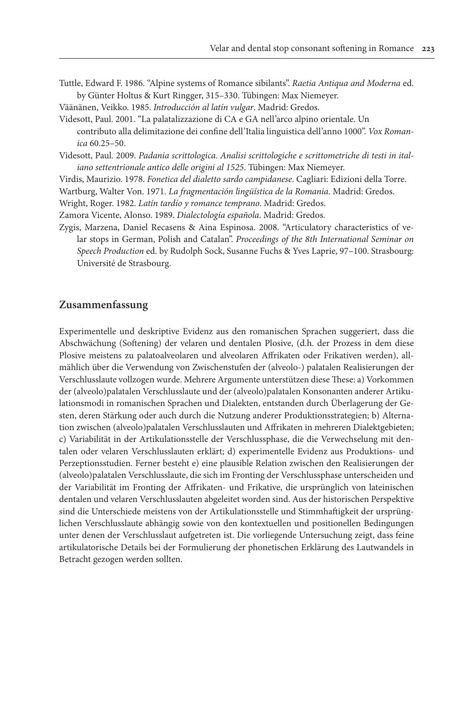- Tuttle, Edward F. 1986. "Alpine systems of Romance sibilants". *Raetia Antiqua and Moderna* ed. by Günter Holtus & Kurt Ringger, 315–330. Tübingen: Max Niemeyer.
- Väänänen, Veikko. 1985. *Introducción al latín vulgar*. Madrid: Gredos.
- Videsott, Paul. 2001. "La palatalizzazione di CA e GA nell'arco alpino orientale. Un contributo alla delimitazione dei confine dell'Italia linguistica dell'anno 1000". *Vox Romanica* 60.25–50.
- Videsott, Paul. 2009. *Padania scrittologica. Analisi scrittologiche e scrittometriche di testi in italiano settentrionale antico delle origini al 1525*. Tübingen: Max Niemeyer.
- Virdis, Maurizio. 1978. *Fonetica del dialetto sardo campidanese*. Cagliari: Edizioni della Torre.
- Wartburg, Walter Von. 1971. *La fragmentación lingüística de la Romania*. Madrid: Gredos.
- Wright, Roger. 1982. *Latín tardío y romance temprano*. Madrid: Gredos.
- Zamora Vicente, Alonso. 1989. *Dialectología española*. Madrid: Gredos.
- Zygis, Marzena, Daniel Recasens & Aina Espinosa. 2008. "Articulatory characteristics of velar stops in German, Polish and Catalan". *Proceedings of the 8th International Seminar on Speech Production* ed. by Rudolph Sock, Susanne Fuchs & Yves Laprie, 97–100. Strasbourg: Université de Strasbourg.

#### **Zusammenfassung**

Experimentelle und deskriptive Evidenz aus den romanischen Sprachen suggeriert, dass die Abschwächung (Softening) der velaren und dentalen Plosive, (d.h. der Prozess in dem diese Plosive meistens zu palatoalveolaren und alveolaren Affrikaten oder Frikativen werden), allmählich über die Verwendung von Zwischenstufen der (alveolo-) palatalen Realisierungen der Verschlusslaute vollzogen wurde. Mehrere Argumente unterstützen diese These: a) Vorkommen der (alveolo)palatalen Verschlusslaute und der (alveolo)palatalen Konsonanten anderer Artikulationsmodi in romanischen Sprachen und Dialekten, entstanden durch Überlagerung der Gesten, deren Stärkung oder auch durch die Nutzung anderer Produktionsstrategien; b) Alternation zwischen (alveolo)palatalen Verschlusslauten und Affrikaten in mehreren Dialektgebieten; c) Variabilität in der Artikulationsstelle der Verschlussphase, die die Verwechselung mit dentalen oder velaren Verschlusslauten erklärt; d) experimentelle Evidenz aus Produktions- und Perzeptionsstudien. Ferner besteht e) eine plausible Relation zwischen den Realisierungen der (alveolo)palatalen Verschlusslaute, die sich im Fronting der Verschlussphase unterscheiden und der Variabilität im Fronting der Affrikaten- und Frikative, die ursprünglich von lateinischen dentalen und velaren Verschlusslauten abgeleitet worden sind. Aus der historischen Perspektive sind die Unterschiede meistens von der Artikulationsstelle und Stimmhaftigkeit der ursprünglichen Verschlusslaute abhängig sowie von den kontextuellen und positionellen Bedingungen unter denen der Verschlusslaut aufgetreten ist. Die vorliegende Untersuchung zeigt, dass feine artikulatorische Details bei der Formulierung der phonetischen Erklärung des Lautwandels in Betracht gezogen werden sollten.